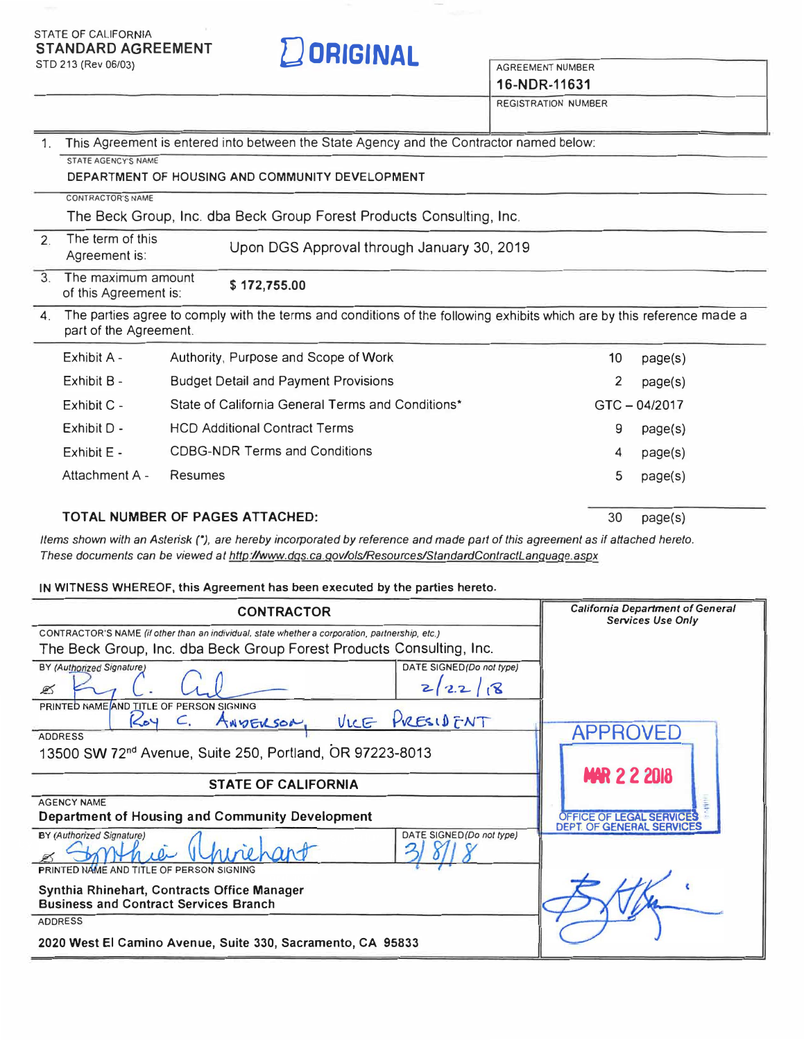**16-NDR-11631**

REGISTRATION NUMBER

| 1.             | This Agreement is entered into between the State Agency and the Contractor named below:                                                          |                                                   |    |             |  |  |
|----------------|--------------------------------------------------------------------------------------------------------------------------------------------------|---------------------------------------------------|----|-------------|--|--|
|                | <b>STATE AGENCY'S NAME</b>                                                                                                                       |                                                   |    |             |  |  |
|                | DEPARTMENT OF HOUSING AND COMMUNITY DEVELOPMENT                                                                                                  |                                                   |    |             |  |  |
|                | <b>CONTRACTOR'S NAME</b>                                                                                                                         |                                                   |    |             |  |  |
|                | The Beck Group, Inc. dba Beck Group Forest Products Consulting, Inc.                                                                             |                                                   |    |             |  |  |
| 2.             | The term of this<br>Agreement is:                                                                                                                | Upon DGS Approval through January 30, 2019        |    |             |  |  |
| 3              | The maximum amount<br>\$172,755.00<br>of this Agreement is:                                                                                      |                                                   |    |             |  |  |
| $\mathbf{4}$ . | The parties agree to comply with the terms and conditions of the following exhibits which are by this reference made a<br>part of the Agreement. |                                                   |    |             |  |  |
|                | Exhibit A -                                                                                                                                      | Authority, Purpose and Scope of Work              | 10 | page(s)     |  |  |
|                | Exhibit B -                                                                                                                                      | <b>Budget Detail and Payment Provisions</b>       | 2  | page(s)     |  |  |
|                | Exhibit C -                                                                                                                                      | State of California General Terms and Conditions* |    | GTC-04/2017 |  |  |
|                | Exhibit D -                                                                                                                                      | <b>HCD Additional Contract Terms</b>              | 9  | page(s)     |  |  |
|                | Exhibit E -                                                                                                                                      | <b>CDBG-NDR Terms and Conditions</b>              | 4  | page(s)     |  |  |
|                | Attachment A -                                                                                                                                   | Resumes                                           | 5  | page(s)     |  |  |
|                |                                                                                                                                                  |                                                   |    |             |  |  |

**TOTAL NUMBER OF PAGES ATTACHED:** 

30 page(s)

*Items shown with an Asterisk ("), are hereby incorporated by reference and made part of this agreement as if attached hereto. These documents can be viewed at [http:llwww.dgs.ca.govlo/s/Resources/StandardContractLanguaqe.aspx](https://www.dgs.ca.gov/)* 

**IN WITNESS WHEREOF, this Agreement has been executed by the parties hereto.** 

| <b>CONTRACTOR</b>                                                                                         | <b>California Department of General</b><br><b>Services Use Only</b> |
|-----------------------------------------------------------------------------------------------------------|---------------------------------------------------------------------|
| CONTRACTOR'S NAME (if other than an individual, state whether a corporation, partnership, etc.)           |                                                                     |
| The Beck Group, Inc. dba Beck Group Forest Products Consulting, Inc.                                      |                                                                     |
| DATE SIGNED(Do not type)<br>BY (Authorized Signature)<br>22/8<br>☎                                        |                                                                     |
| PRINTED NAME AND TITLE OF PERSON SIGNING                                                                  |                                                                     |
| VICE PRESIDENT<br>Kov<br>ANDERSON,                                                                        | <b>APPROVED</b>                                                     |
| <b>ADDRESS</b>                                                                                            |                                                                     |
| 13500 SW 72 <sup>nd</sup> Avenue, Suite 250, Portland, OR 97223-8013                                      |                                                                     |
|                                                                                                           | <b>MAR 2 2 2018</b>                                                 |
| <b>STATE OF CALIFORNIA</b>                                                                                |                                                                     |
| <b>AGENCY NAME</b>                                                                                        |                                                                     |
| Department of Housing and Community Development                                                           | <b>OFFICE OF LEGAL SERVIC</b><br><b>DEPT. OF GENERAL SERVICE</b>    |
| DATE SIGNED (Do not type)<br><b>BY (Authorized Signature)</b><br>PRINTED NAME AND TITLE OF PERSON SIGNING |                                                                     |
|                                                                                                           |                                                                     |
| Synthia Rhinehart, Contracts Office Manager                                                               |                                                                     |
| <b>Business and Contract Services Branch</b>                                                              |                                                                     |
| <b>ADDRESS</b>                                                                                            |                                                                     |
| 2020 West El Camino Avenue, Suite 330, Sacramento, CA 95833                                               |                                                                     |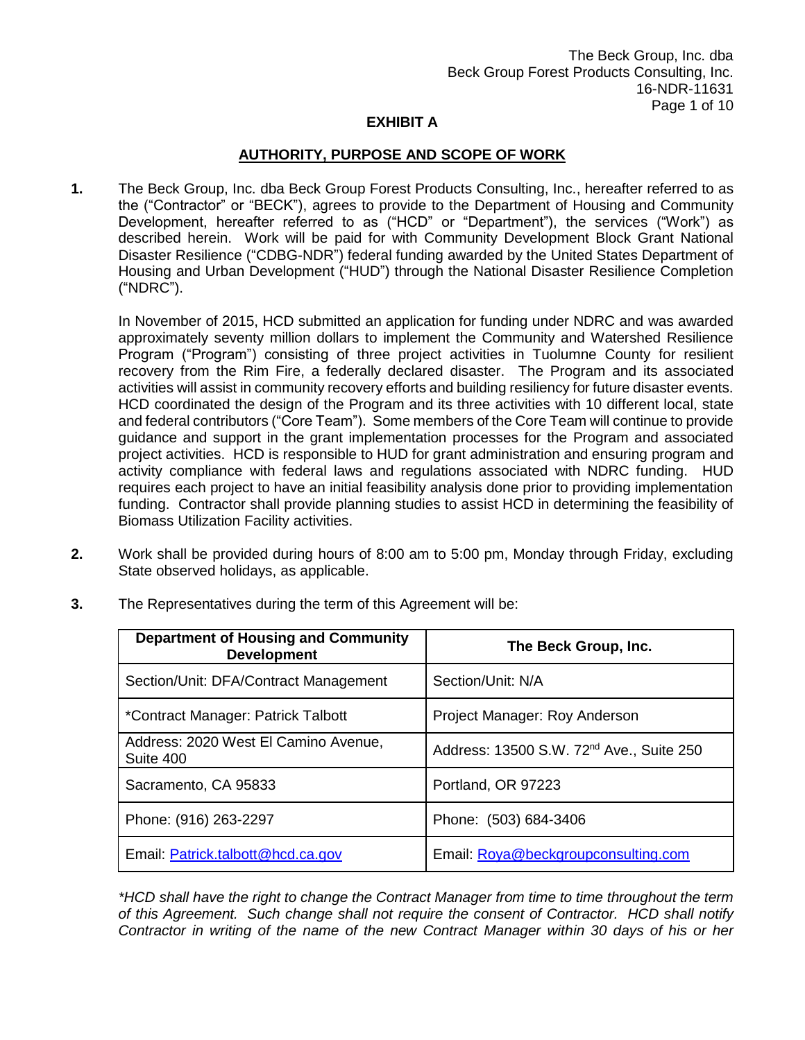### **AUTHORITY, PURPOSE AND SCOPE OF WORK**

**1.** The Beck Group, Inc. dba Beck Group Forest Products Consulting, Inc., hereafter referred to as the ("Contractor" or "BECK"), agrees to provide to the Department of Housing and Community Development, hereafter referred to as ("HCD" or "Department"), the services ("Work") as described herein. Work will be paid for with Community Development Block Grant National Disaster Resilience ("CDBG-NDR") federal funding awarded by the United States Department of Housing and Urban Development ("HUD") through the National Disaster Resilience Completion ("NDRC").

In November of 2015, HCD submitted an application for funding under NDRC and was awarded approximately seventy million dollars to implement the Community and Watershed Resilience Program ("Program") consisting of three project activities in Tuolumne County for resilient recovery from the Rim Fire, a federally declared disaster. The Program and its associated activities will assist in community recovery efforts and building resiliency for future disaster events. HCD coordinated the design of the Program and its three activities with 10 different local, state and federal contributors ("Core Team"). Some members of the Core Team will continue to provide guidance and support in the grant implementation processes for the Program and associated project activities. HCD is responsible to HUD for grant administration and ensuring program and activity compliance with federal laws and regulations associated with NDRC funding. HUD requires each project to have an initial feasibility analysis done prior to providing implementation funding. Contractor shall provide planning studies to assist HCD in determining the feasibility of Biomass Utilization Facility activities.

**2.** Work shall be provided during hours of 8:00 am to 5:00 pm, Monday through Friday, excluding State observed holidays, as applicable.

| <b>Department of Housing and Community</b><br><b>Development</b> | The Beck Group, Inc.                                 |
|------------------------------------------------------------------|------------------------------------------------------|
| Section/Unit: DFA/Contract Management                            | Section/Unit: N/A                                    |
| *Contract Manager: Patrick Talbott                               | Project Manager: Roy Anderson                        |
| Address: 2020 West El Camino Avenue,<br>Suite 400                | Address: 13500 S.W. 72 <sup>nd</sup> Ave., Suite 250 |
| Sacramento, CA 95833                                             | Portland, OR 97223                                   |
| Phone: (916) 263-2297                                            | Phone: (503) 684-3406                                |
| Email: Patrick.talbott@hcd.ca.gov                                | Email: Roya@beckgroupconsulting.com                  |

**3.** The Representatives during the term of this Agreement will be:

*\*HCD shall have the right to change the Contract Manager from time to time throughout the term of this Agreement. Such change shall not require the consent of Contractor. HCD shall notify Contractor in writing of the name of the new Contract Manager within 30 days of his or her*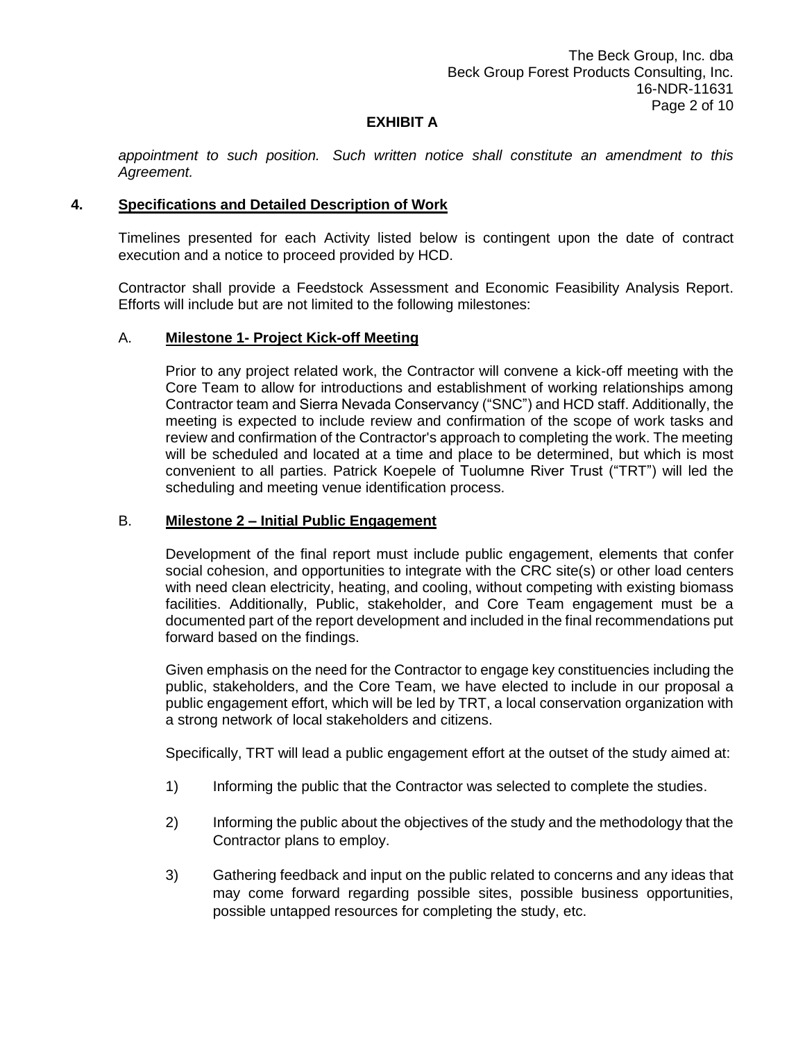*appointment to such position. Such written notice shall constitute an amendment to this Agreement.*

### **4. Specifications and Detailed Description of Work**

Timelines presented for each Activity listed below is contingent upon the date of contract execution and a notice to proceed provided by HCD.

Contractor shall provide a Feedstock Assessment and Economic Feasibility Analysis Report. Efforts will include but are not limited to the following milestones:

#### A. **Milestone 1- Project Kick-off Meeting**

Prior to any project related work, the Contractor will convene a kick-off meeting with the Core Team to allow for introductions and establishment of working relationships among Contractor team and Sierra Nevada Conservancy ("SNC") and HCD staff. Additionally, the meeting is expected to include review and confirmation of the scope of work tasks and review and confirmation of the Contractor's approach to completing the work. The meeting will be scheduled and located at a time and place to be determined, but which is most convenient to all parties. Patrick Koepele of Tuolumne River Trust ("TRT") will led the scheduling and meeting venue identification process.

### B. **Milestone 2 – Initial Public Engagement**

Development of the final report must include public engagement, elements that confer social cohesion, and opportunities to integrate with the CRC site(s) or other load centers with need clean electricity, heating, and cooling, without competing with existing biomass facilities. Additionally, Public, stakeholder, and Core Team engagement must be a documented part of the report development and included in the final recommendations put forward based on the findings.

Given emphasis on the need for the Contractor to engage key constituencies including the public, stakeholders, and the Core Team, we have elected to include in our proposal a public engagement effort, which will be led by TRT, a local conservation organization with a strong network of local stakeholders and citizens.

Specifically, TRT will lead a public engagement effort at the outset of the study aimed at:

- 1) Informing the public that the Contractor was selected to complete the studies.
- 2) Informing the public about the objectives of the study and the methodology that the Contractor plans to employ.
- 3) Gathering feedback and input on the public related to concerns and any ideas that may come forward regarding possible sites, possible business opportunities, possible untapped resources for completing the study, etc.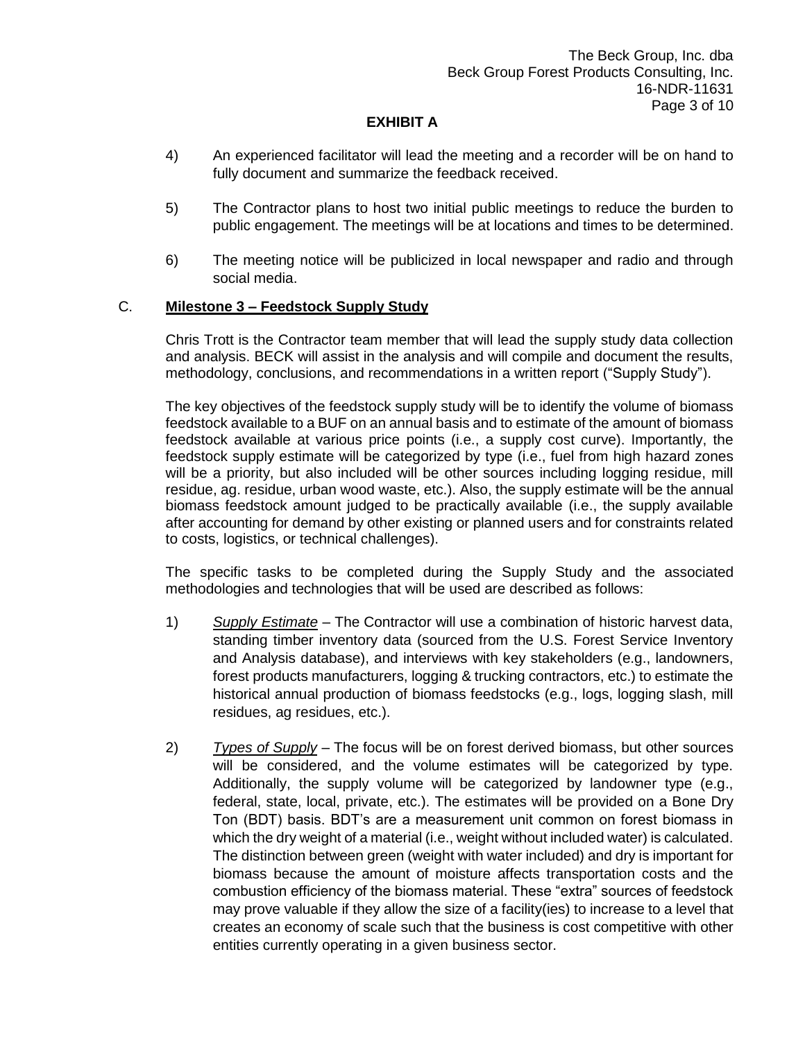- 4) An experienced facilitator will lead the meeting and a recorder will be on hand to fully document and summarize the feedback received.
- 5) The Contractor plans to host two initial public meetings to reduce the burden to public engagement. The meetings will be at locations and times to be determined.
- 6) The meeting notice will be publicized in local newspaper and radio and through social media.

## C. **Milestone 3 – Feedstock Supply Study**

Chris Trott is the Contractor team member that will lead the supply study data collection and analysis. BECK will assist in the analysis and will compile and document the results, methodology, conclusions, and recommendations in a written report ("Supply Study").

The key objectives of the feedstock supply study will be to identify the volume of biomass feedstock available to a BUF on an annual basis and to estimate of the amount of biomass feedstock available at various price points (i.e., a supply cost curve). Importantly, the feedstock supply estimate will be categorized by type (i.e., fuel from high hazard zones will be a priority, but also included will be other sources including logging residue, mill residue, ag. residue, urban wood waste, etc.). Also, the supply estimate will be the annual biomass feedstock amount judged to be practically available (i.e., the supply available after accounting for demand by other existing or planned users and for constraints related to costs, logistics, or technical challenges).

The specific tasks to be completed during the Supply Study and the associated methodologies and technologies that will be used are described as follows:

- 1) *Supply Estimate* The Contractor will use a combination of historic harvest data, standing timber inventory data (sourced from the U.S. Forest Service Inventory and Analysis database), and interviews with key stakeholders (e.g., landowners, forest products manufacturers, logging & trucking contractors, etc.) to estimate the historical annual production of biomass feedstocks (e.g., logs, logging slash, mill residues, ag residues, etc.).
- 2) *Types of Supply* The focus will be on forest derived biomass, but other sources will be considered, and the volume estimates will be categorized by type. Additionally, the supply volume will be categorized by landowner type (e.g., federal, state, local, private, etc.). The estimates will be provided on a Bone Dry Ton (BDT) basis. BDT's are a measurement unit common on forest biomass in which the dry weight of a material (i.e., weight without included water) is calculated. The distinction between green (weight with water included) and dry is important for biomass because the amount of moisture affects transportation costs and the combustion efficiency of the biomass material. These "extra" sources of feedstock may prove valuable if they allow the size of a facility(ies) to increase to a level that creates an economy of scale such that the business is cost competitive with other entities currently operating in a given business sector.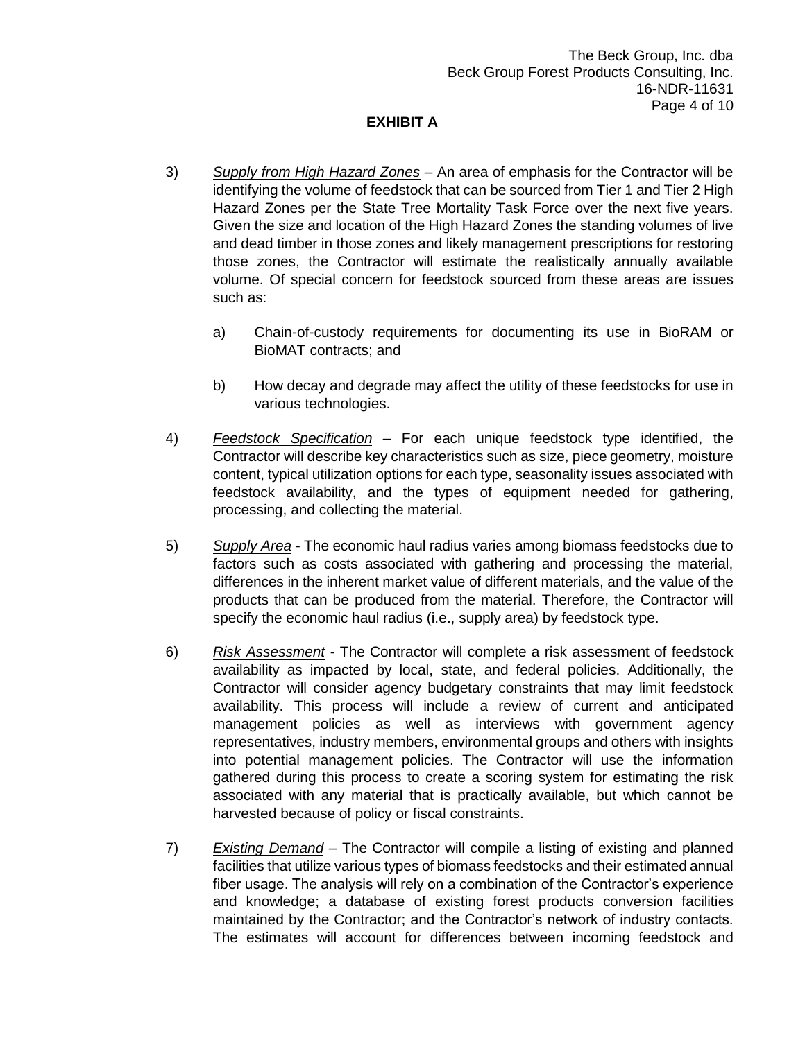- 3) *Supply from High Hazard Zones* An area of emphasis for the Contractor will be identifying the volume of feedstock that can be sourced from Tier 1 and Tier 2 High Hazard Zones per the State Tree Mortality Task Force over the next five years. Given the size and location of the High Hazard Zones the standing volumes of live and dead timber in those zones and likely management prescriptions for restoring those zones, the Contractor will estimate the realistically annually available volume. Of special concern for feedstock sourced from these areas are issues such as:
	- a) Chain-of-custody requirements for documenting its use in BioRAM or BioMAT contracts; and
	- b) How decay and degrade may affect the utility of these feedstocks for use in various technologies.
- 4) *Feedstock Specification* For each unique feedstock type identified, the Contractor will describe key characteristics such as size, piece geometry, moisture content, typical utilization options for each type, seasonality issues associated with feedstock availability, and the types of equipment needed for gathering, processing, and collecting the material.
- 5) *Supply Area* The economic haul radius varies among biomass feedstocks due to factors such as costs associated with gathering and processing the material, differences in the inherent market value of different materials, and the value of the products that can be produced from the material. Therefore, the Contractor will specify the economic haul radius (i.e., supply area) by feedstock type.
- 6) *Risk Assessment* The Contractor will complete a risk assessment of feedstock availability as impacted by local, state, and federal policies. Additionally, the Contractor will consider agency budgetary constraints that may limit feedstock availability. This process will include a review of current and anticipated management policies as well as interviews with government agency representatives, industry members, environmental groups and others with insights into potential management policies. The Contractor will use the information gathered during this process to create a scoring system for estimating the risk associated with any material that is practically available, but which cannot be harvested because of policy or fiscal constraints.
- 7) *Existing Demand* The Contractor will compile a listing of existing and planned facilities that utilize various types of biomass feedstocks and their estimated annual fiber usage. The analysis will rely on a combination of the Contractor's experience and knowledge; a database of existing forest products conversion facilities maintained by the Contractor; and the Contractor's network of industry contacts. The estimates will account for differences between incoming feedstock and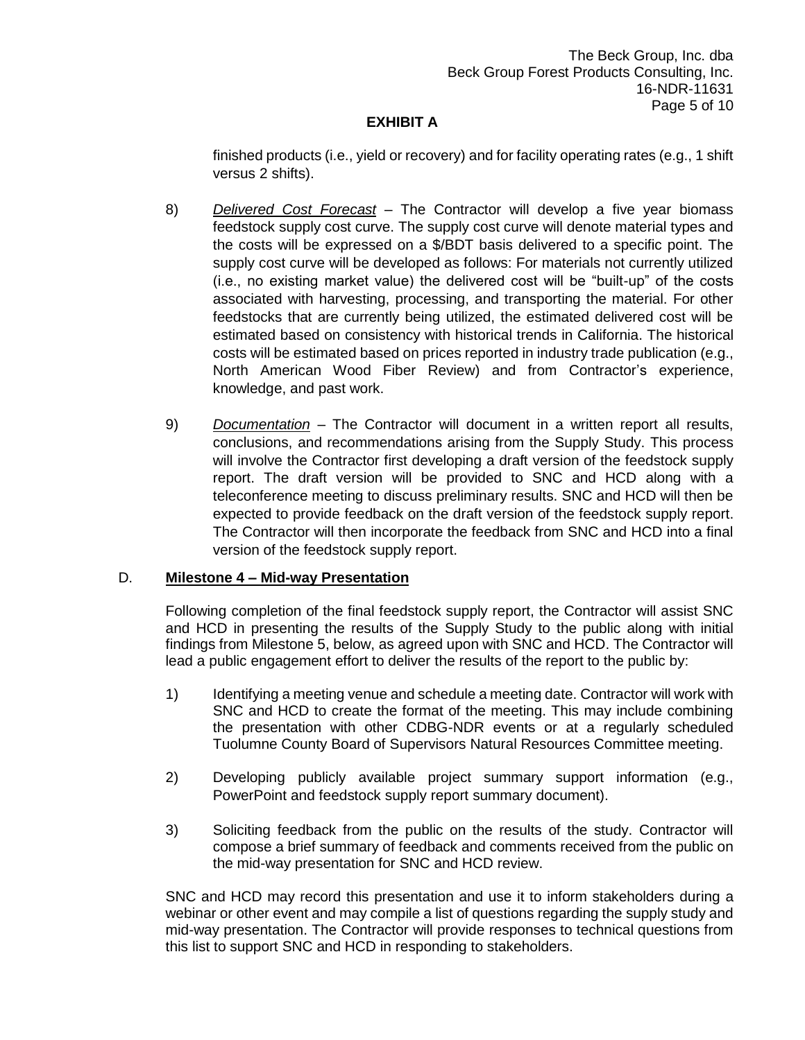finished products (i.e., yield or recovery) and for facility operating rates (e.g., 1 shift versus 2 shifts).

- 8) *Delivered Cost Forecast* The Contractor will develop a five year biomass feedstock supply cost curve. The supply cost curve will denote material types and the costs will be expressed on a \$/BDT basis delivered to a specific point. The supply cost curve will be developed as follows: For materials not currently utilized (i.e., no existing market value) the delivered cost will be "built-up" of the costs associated with harvesting, processing, and transporting the material. For other feedstocks that are currently being utilized, the estimated delivered cost will be estimated based on consistency with historical trends in California. The historical costs will be estimated based on prices reported in industry trade publication (e.g., North American Wood Fiber Review) and from Contractor's experience, knowledge, and past work.
- 9) *Documentation* The Contractor will document in a written report all results, conclusions, and recommendations arising from the Supply Study. This process will involve the Contractor first developing a draft version of the feedstock supply report. The draft version will be provided to SNC and HCD along with a teleconference meeting to discuss preliminary results. SNC and HCD will then be expected to provide feedback on the draft version of the feedstock supply report. The Contractor will then incorporate the feedback from SNC and HCD into a final version of the feedstock supply report.

### D. **Milestone 4 – Mid-way Presentation**

Following completion of the final feedstock supply report, the Contractor will assist SNC and HCD in presenting the results of the Supply Study to the public along with initial findings from Milestone 5, below, as agreed upon with SNC and HCD. The Contractor will lead a public engagement effort to deliver the results of the report to the public by:

- 1) Identifying a meeting venue and schedule a meeting date. Contractor will work with SNC and HCD to create the format of the meeting. This may include combining the presentation with other CDBG-NDR events or at a regularly scheduled Tuolumne County Board of Supervisors Natural Resources Committee meeting.
- 2) Developing publicly available project summary support information (e.g., PowerPoint and feedstock supply report summary document).
- 3) Soliciting feedback from the public on the results of the study. Contractor will compose a brief summary of feedback and comments received from the public on the mid-way presentation for SNC and HCD review.

SNC and HCD may record this presentation and use it to inform stakeholders during a webinar or other event and may compile a list of questions regarding the supply study and mid-way presentation. The Contractor will provide responses to technical questions from this list to support SNC and HCD in responding to stakeholders.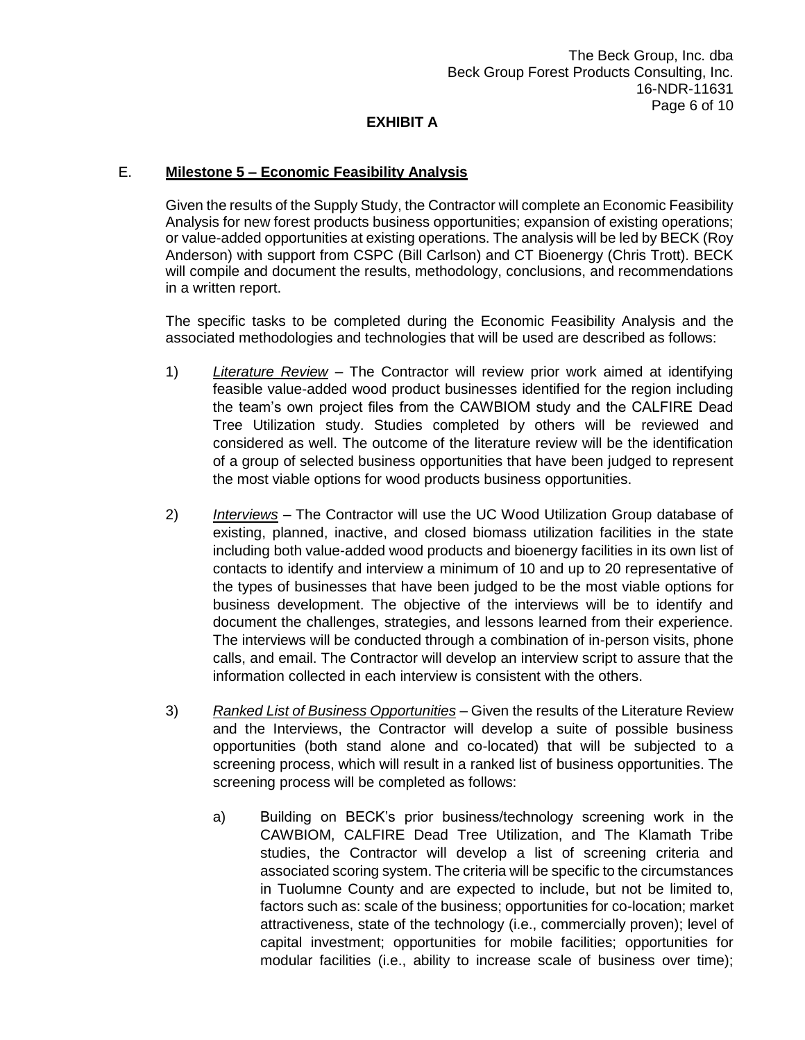## E. **Milestone 5 – Economic Feasibility Analysis**

Given the results of the Supply Study, the Contractor will complete an Economic Feasibility Analysis for new forest products business opportunities; expansion of existing operations; or value-added opportunities at existing operations. The analysis will be led by BECK (Roy Anderson) with support from CSPC (Bill Carlson) and CT Bioenergy (Chris Trott). BECK will compile and document the results, methodology, conclusions, and recommendations in a written report.

The specific tasks to be completed during the Economic Feasibility Analysis and the associated methodologies and technologies that will be used are described as follows:

- 1) *Literature Review* The Contractor will review prior work aimed at identifying feasible value-added wood product businesses identified for the region including the team's own project files from the CAWBIOM study and the CALFIRE Dead Tree Utilization study. Studies completed by others will be reviewed and considered as well. The outcome of the literature review will be the identification of a group of selected business opportunities that have been judged to represent the most viable options for wood products business opportunities.
- 2) *Interviews –* The Contractor will use the UC Wood Utilization Group database of existing, planned, inactive, and closed biomass utilization facilities in the state including both value-added wood products and bioenergy facilities in its own list of contacts to identify and interview a minimum of 10 and up to 20 representative of the types of businesses that have been judged to be the most viable options for business development. The objective of the interviews will be to identify and document the challenges, strategies, and lessons learned from their experience. The interviews will be conducted through a combination of in-person visits, phone calls, and email. The Contractor will develop an interview script to assure that the information collected in each interview is consistent with the others.
- 3) *Ranked List of Business Opportunities* Given the results of the Literature Review and the Interviews, the Contractor will develop a suite of possible business opportunities (both stand alone and co-located) that will be subjected to a screening process, which will result in a ranked list of business opportunities. The screening process will be completed as follows:
	- a) Building on BECK's prior business/technology screening work in the CAWBIOM, CALFIRE Dead Tree Utilization, and The Klamath Tribe studies, the Contractor will develop a list of screening criteria and associated scoring system. The criteria will be specific to the circumstances in Tuolumne County and are expected to include, but not be limited to, factors such as: scale of the business; opportunities for co-location; market attractiveness, state of the technology (i.e., commercially proven); level of capital investment; opportunities for mobile facilities; opportunities for modular facilities (i.e., ability to increase scale of business over time);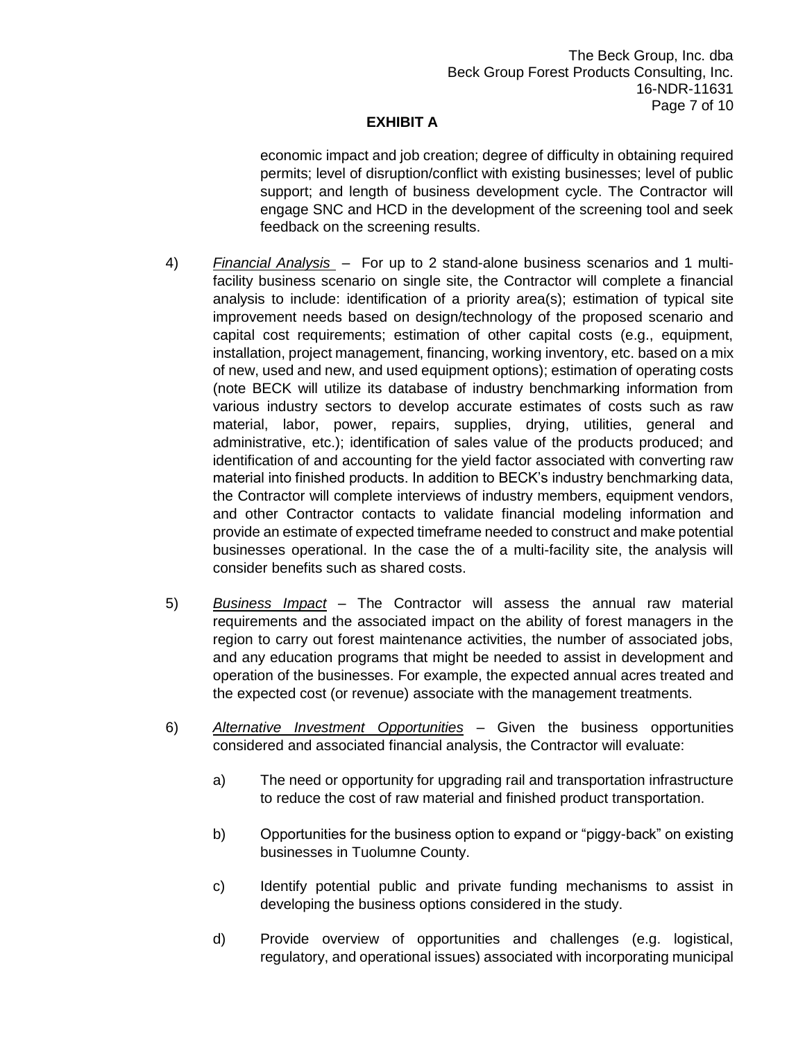economic impact and job creation; degree of difficulty in obtaining required permits; level of disruption/conflict with existing businesses; level of public support; and length of business development cycle. The Contractor will engage SNC and HCD in the development of the screening tool and seek feedback on the screening results.

- 4) *Financial Analysis* For up to 2 stand-alone business scenarios and 1 multifacility business scenario on single site, the Contractor will complete a financial analysis to include: identification of a priority area(s); estimation of typical site improvement needs based on design/technology of the proposed scenario and capital cost requirements; estimation of other capital costs (e.g., equipment, installation, project management, financing, working inventory, etc. based on a mix of new, used and new, and used equipment options); estimation of operating costs (note BECK will utilize its database of industry benchmarking information from various industry sectors to develop accurate estimates of costs such as raw material, labor, power, repairs, supplies, drying, utilities, general and administrative, etc.); identification of sales value of the products produced; and identification of and accounting for the yield factor associated with converting raw material into finished products. In addition to BECK's industry benchmarking data, the Contractor will complete interviews of industry members, equipment vendors, and other Contractor contacts to validate financial modeling information and provide an estimate of expected timeframe needed to construct and make potential businesses operational. In the case the of a multi-facility site, the analysis will consider benefits such as shared costs.
- 5) *Business Impact* The Contractor will assess the annual raw material requirements and the associated impact on the ability of forest managers in the region to carry out forest maintenance activities, the number of associated jobs, and any education programs that might be needed to assist in development and operation of the businesses. For example, the expected annual acres treated and the expected cost (or revenue) associate with the management treatments.
- 6) *Alternative Investment Opportunities* Given the business opportunities considered and associated financial analysis, the Contractor will evaluate:
	- a) The need or opportunity for upgrading rail and transportation infrastructure to reduce the cost of raw material and finished product transportation.
	- b) Opportunities for the business option to expand or "piggy-back" on existing businesses in Tuolumne County.
	- c) Identify potential public and private funding mechanisms to assist in developing the business options considered in the study.
	- d) Provide overview of opportunities and challenges (e.g. logistical, regulatory, and operational issues) associated with incorporating municipal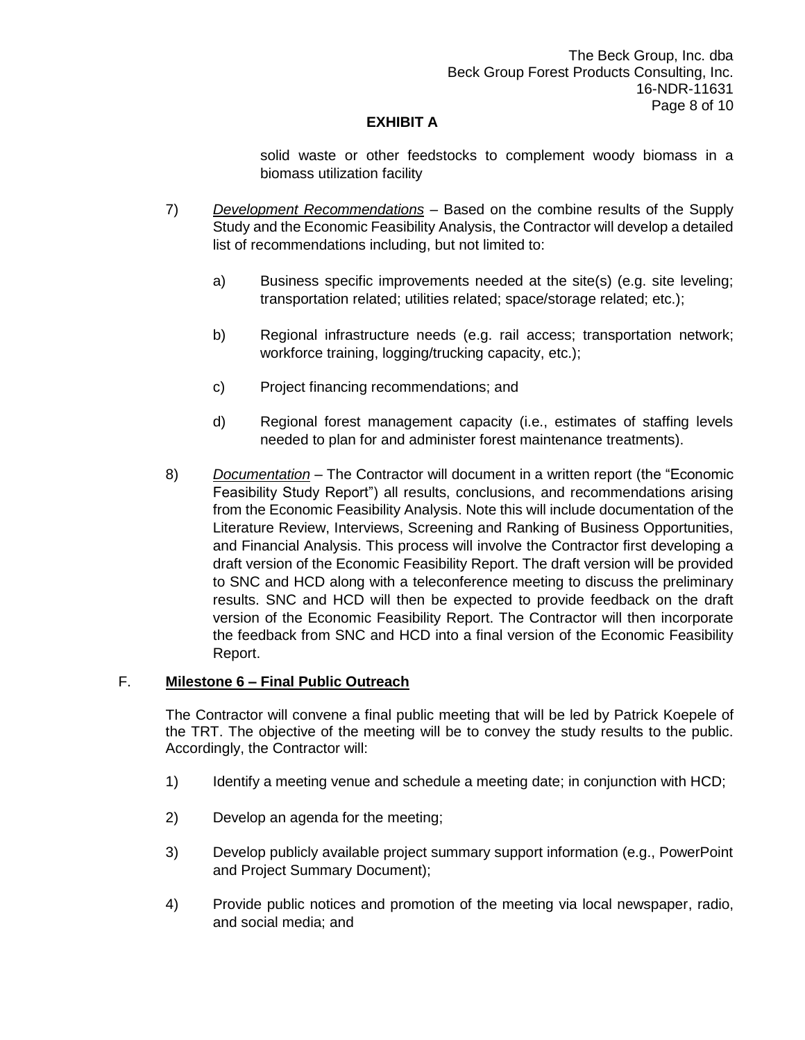solid waste or other feedstocks to complement woody biomass in a biomass utilization facility

- 7) *Development Recommendations* Based on the combine results of the Supply Study and the Economic Feasibility Analysis, the Contractor will develop a detailed list of recommendations including, but not limited to:
	- a) Business specific improvements needed at the site(s) (e.g. site leveling; transportation related; utilities related; space/storage related; etc.);
	- b) Regional infrastructure needs (e.g. rail access; transportation network; workforce training, logging/trucking capacity, etc.);
	- c) Project financing recommendations; and
	- d) Regional forest management capacity (i.e., estimates of staffing levels needed to plan for and administer forest maintenance treatments).
- 8) *Documentation* The Contractor will document in a written report (the "Economic Feasibility Study Report") all results, conclusions, and recommendations arising from the Economic Feasibility Analysis. Note this will include documentation of the Literature Review, Interviews, Screening and Ranking of Business Opportunities, and Financial Analysis. This process will involve the Contractor first developing a draft version of the Economic Feasibility Report. The draft version will be provided to SNC and HCD along with a teleconference meeting to discuss the preliminary results. SNC and HCD will then be expected to provide feedback on the draft version of the Economic Feasibility Report. The Contractor will then incorporate the feedback from SNC and HCD into a final version of the Economic Feasibility Report.

## F. **Milestone 6 – Final Public Outreach**

The Contractor will convene a final public meeting that will be led by Patrick Koepele of the TRT. The objective of the meeting will be to convey the study results to the public. Accordingly, the Contractor will:

- 1) Identify a meeting venue and schedule a meeting date; in conjunction with HCD;
- 2) Develop an agenda for the meeting;
- 3) Develop publicly available project summary support information (e.g., PowerPoint and Project Summary Document);
- 4) Provide public notices and promotion of the meeting via local newspaper, radio, and social media; and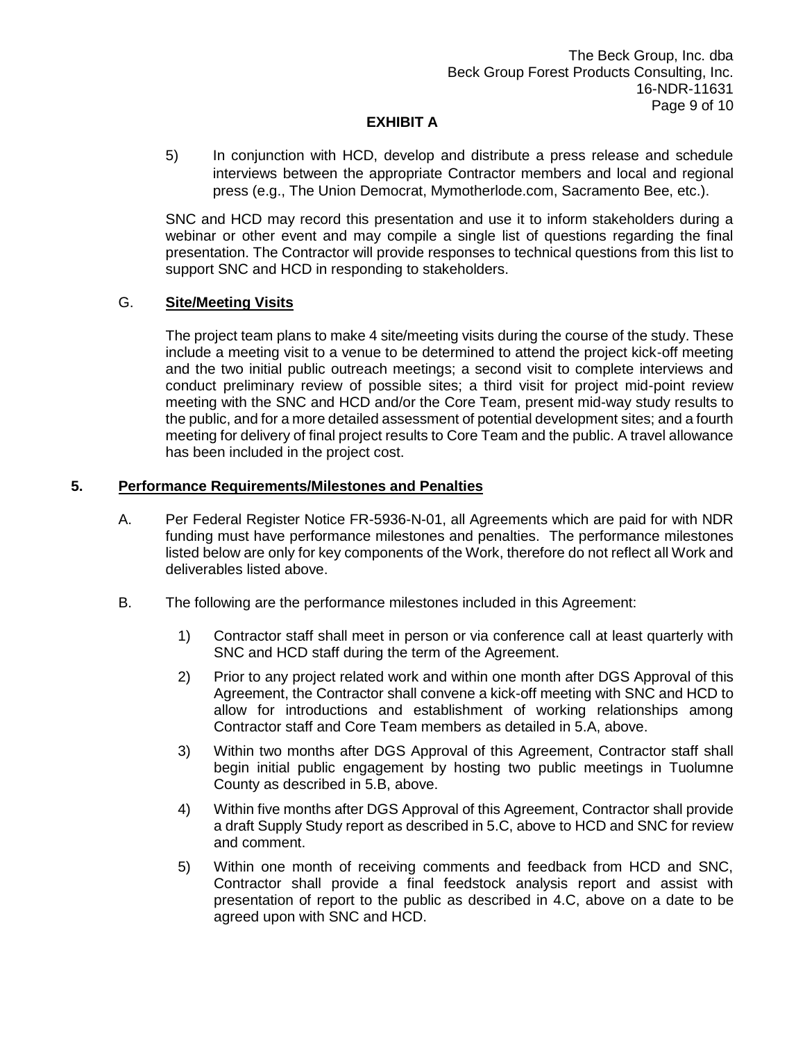5) In conjunction with HCD, develop and distribute a press release and schedule interviews between the appropriate Contractor members and local and regional press (e.g., The Union Democrat, Mymotherlode.com, Sacramento Bee, etc.).

SNC and HCD may record this presentation and use it to inform stakeholders during a webinar or other event and may compile a single list of questions regarding the final presentation. The Contractor will provide responses to technical questions from this list to support SNC and HCD in responding to stakeholders.

### G. **Site/Meeting Visits**

The project team plans to make 4 site/meeting visits during the course of the study. These include a meeting visit to a venue to be determined to attend the project kick-off meeting and the two initial public outreach meetings; a second visit to complete interviews and conduct preliminary review of possible sites; a third visit for project mid-point review meeting with the SNC and HCD and/or the Core Team, present mid-way study results to the public, and for a more detailed assessment of potential development sites; and a fourth meeting for delivery of final project results to Core Team and the public. A travel allowance has been included in the project cost.

### **5. Performance Requirements/Milestones and Penalties**

- A. Per Federal Register Notice FR-5936-N-01, all Agreements which are paid for with NDR funding must have performance milestones and penalties. The performance milestones listed below are only for key components of the Work, therefore do not reflect all Work and deliverables listed above.
- B. The following are the performance milestones included in this Agreement:
	- 1) Contractor staff shall meet in person or via conference call at least quarterly with SNC and HCD staff during the term of the Agreement.
	- 2) Prior to any project related work and within one month after DGS Approval of this Agreement, the Contractor shall convene a kick-off meeting with SNC and HCD to allow for introductions and establishment of working relationships among Contractor staff and Core Team members as detailed in 5.A, above.
	- 3) Within two months after DGS Approval of this Agreement, Contractor staff shall begin initial public engagement by hosting two public meetings in Tuolumne County as described in 5.B, above.
	- 4) Within five months after DGS Approval of this Agreement, Contractor shall provide a draft Supply Study report as described in 5.C, above to HCD and SNC for review and comment.
	- 5) Within one month of receiving comments and feedback from HCD and SNC, Contractor shall provide a final feedstock analysis report and assist with presentation of report to the public as described in 4.C, above on a date to be agreed upon with SNC and HCD.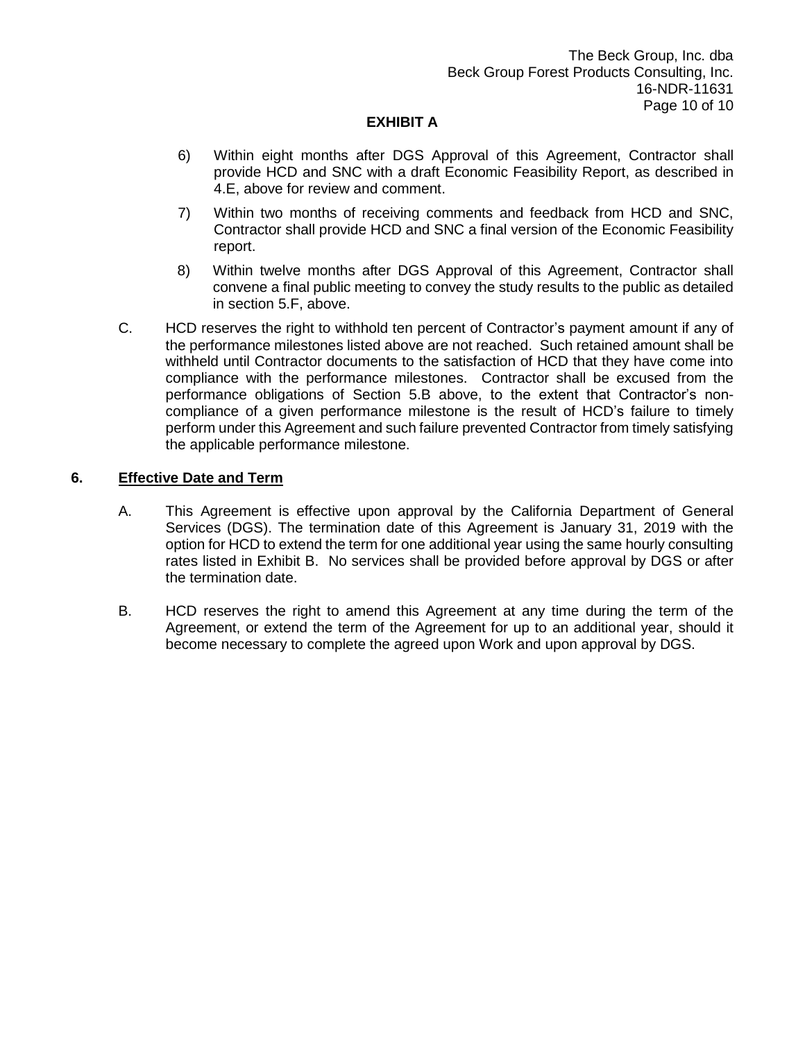- 6) Within eight months after DGS Approval of this Agreement, Contractor shall provide HCD and SNC with a draft Economic Feasibility Report, as described in 4.E, above for review and comment.
- 7) Within two months of receiving comments and feedback from HCD and SNC, Contractor shall provide HCD and SNC a final version of the Economic Feasibility report.
- 8) Within twelve months after DGS Approval of this Agreement, Contractor shall convene a final public meeting to convey the study results to the public as detailed in section 5.F, above.
- C. HCD reserves the right to withhold ten percent of Contractor's payment amount if any of the performance milestones listed above are not reached. Such retained amount shall be withheld until Contractor documents to the satisfaction of HCD that they have come into compliance with the performance milestones. Contractor shall be excused from the performance obligations of Section 5.B above, to the extent that Contractor's noncompliance of a given performance milestone is the result of HCD's failure to timely perform under this Agreement and such failure prevented Contractor from timely satisfying the applicable performance milestone.

### **6. Effective Date and Term**

- A. This Agreement is effective upon approval by the California Department of General Services (DGS). The termination date of this Agreement is January 31, 2019 with the option for HCD to extend the term for one additional year using the same hourly consulting rates listed in Exhibit B. No services shall be provided before approval by DGS or after the termination date.
- B. HCD reserves the right to amend this Agreement at any time during the term of the Agreement, or extend the term of the Agreement for up to an additional year, should it become necessary to complete the agreed upon Work and upon approval by DGS.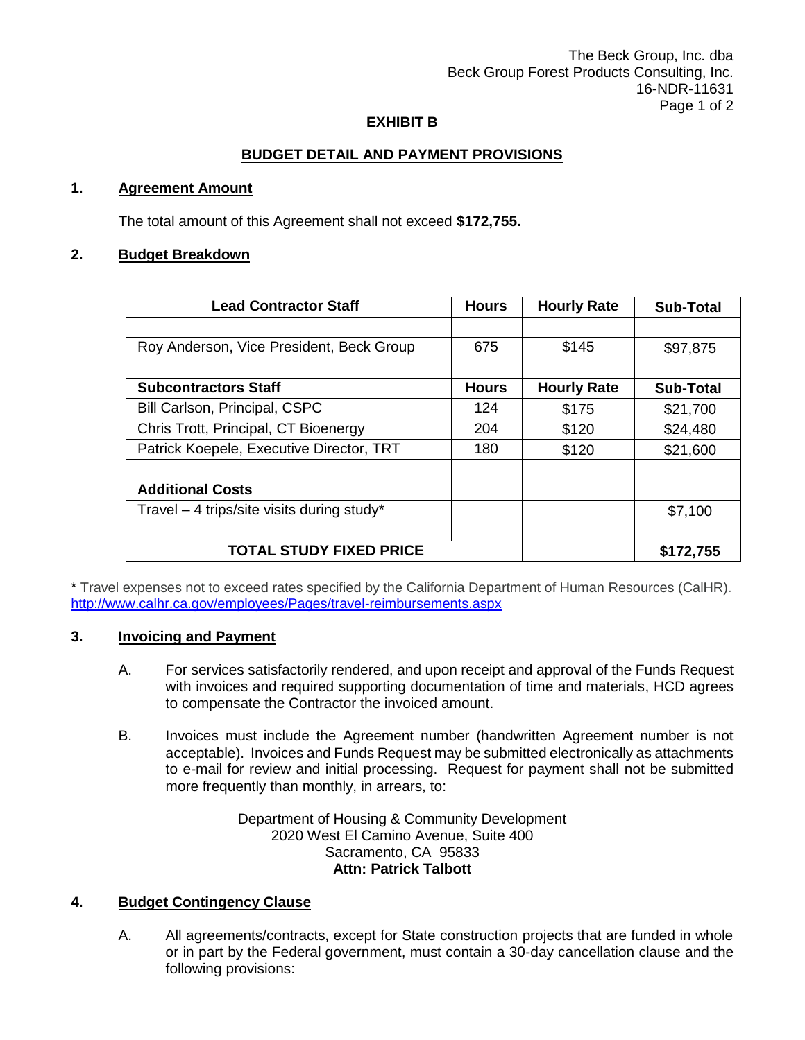The Beck Group, Inc. dba Beck Group Forest Products Consulting, Inc. 16-NDR-11631 Page 1 of 2

### **EXHIBIT B**

## **BUDGET DETAIL AND PAYMENT PROVISIONS**

### **1. Agreement Amount**

The total amount of this Agreement shall not exceed **\$172,755.**

### **2. Budget Breakdown**

| <b>Lead Contractor Staff</b>                 | <b>Hours</b> | <b>Hourly Rate</b> | <b>Sub-Total</b> |
|----------------------------------------------|--------------|--------------------|------------------|
|                                              |              |                    |                  |
| Roy Anderson, Vice President, Beck Group     | 675          | \$145              | \$97,875         |
|                                              |              |                    |                  |
| <b>Subcontractors Staff</b>                  | <b>Hours</b> | <b>Hourly Rate</b> | <b>Sub-Total</b> |
| Bill Carlson, Principal, CSPC                | 124          | \$175              | \$21,700         |
| Chris Trott, Principal, CT Bioenergy         | 204          | \$120              | \$24,480         |
| Patrick Koepele, Executive Director, TRT     | 180          | \$120              | \$21,600         |
|                                              |              |                    |                  |
| <b>Additional Costs</b>                      |              |                    |                  |
| Travel $-$ 4 trips/site visits during study* |              |                    | \$7,100          |
|                                              |              |                    |                  |
| <b>TOTAL STUDY FIXED PRICE</b>               |              |                    | \$172,755        |

\* Travel expenses not to exceed rates specified by the California Department of Human Resources (CalHR). <http://www.calhr.ca.gov/employees/Pages/travel-reimbursements.aspx>

### **3. Invoicing and Payment**

- A. For services satisfactorily rendered, and upon receipt and approval of the Funds Request with invoices and required supporting documentation of time and materials, HCD agrees to compensate the Contractor the invoiced amount.
- B. Invoices must include the Agreement number (handwritten Agreement number is not acceptable). Invoices and Funds Request may be submitted electronically as attachments to e-mail for review and initial processing. Request for payment shall not be submitted more frequently than monthly, in arrears, to:

### Department of Housing & Community Development 2020 West El Camino Avenue, Suite 400 Sacramento, CA 95833 **Attn: Patrick Talbott**

### **4. Budget Contingency Clause**

A. All agreements/contracts, except for State construction projects that are funded in whole or in part by the Federal government, must contain a 30-day cancellation clause and the following provisions: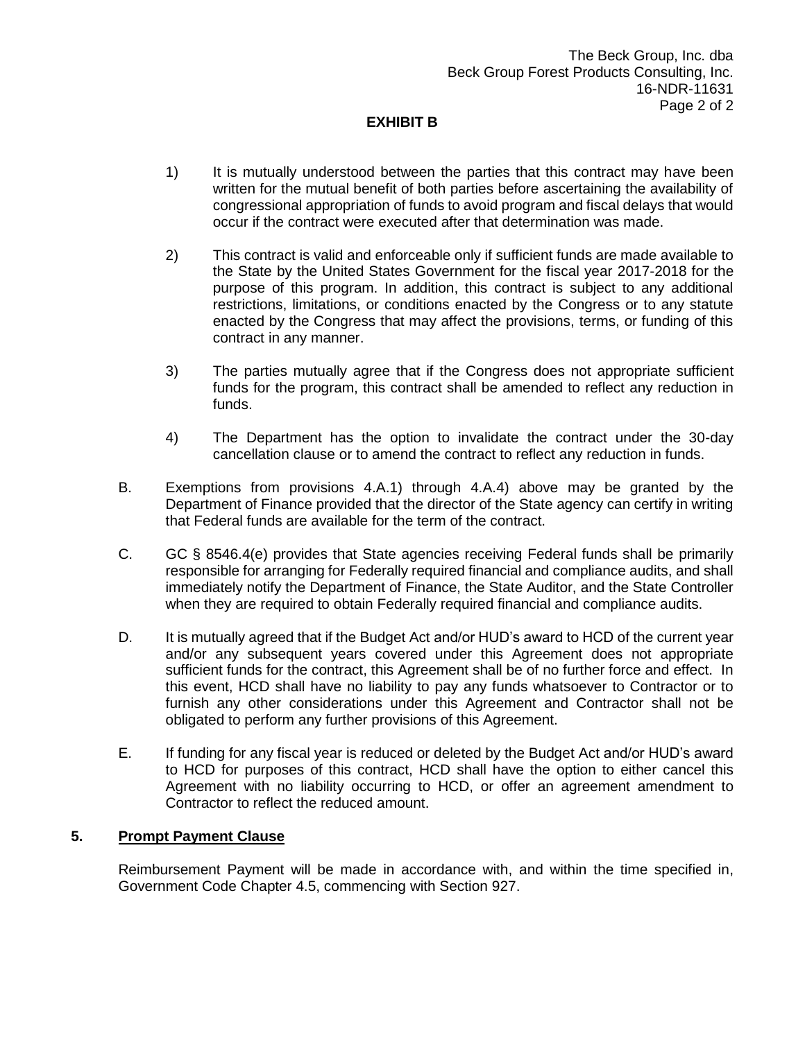## **EXHIBIT B**

- 1) It is mutually understood between the parties that this contract may have been written for the mutual benefit of both parties before ascertaining the availability of congressional appropriation of funds to avoid program and fiscal delays that would occur if the contract were executed after that determination was made.
- 2) This contract is valid and enforceable only if sufficient funds are made available to the State by the United States Government for the fiscal year 2017-2018 for the purpose of this program. In addition, this contract is subject to any additional restrictions, limitations, or conditions enacted by the Congress or to any statute enacted by the Congress that may affect the provisions, terms, or funding of this contract in any manner.
- 3) The parties mutually agree that if the Congress does not appropriate sufficient funds for the program, this contract shall be amended to reflect any reduction in funds.
- 4) The Department has the option to invalidate the contract under the 30-day cancellation clause or to amend the contract to reflect any reduction in funds.
- B. Exemptions from provisions 4.A.1) through 4.A.4) above may be granted by the Department of Finance provided that the director of the State agency can certify in writing that Federal funds are available for the term of the contract.
- C. GC § 8546.4(e) provides that State agencies receiving Federal funds shall be primarily responsible for arranging for Federally required financial and compliance audits, and shall immediately notify the Department of Finance, the State Auditor, and the State Controller when they are required to obtain Federally required financial and compliance audits.
- D. It is mutually agreed that if the Budget Act and/or HUD's award to HCD of the current year and/or any subsequent years covered under this Agreement does not appropriate sufficient funds for the contract, this Agreement shall be of no further force and effect. In this event, HCD shall have no liability to pay any funds whatsoever to Contractor or to furnish any other considerations under this Agreement and Contractor shall not be obligated to perform any further provisions of this Agreement.
- E. If funding for any fiscal year is reduced or deleted by the Budget Act and/or HUD's award to HCD for purposes of this contract, HCD shall have the option to either cancel this Agreement with no liability occurring to HCD, or offer an agreement amendment to Contractor to reflect the reduced amount.

#### **5. Prompt Payment Clause**

Reimbursement Payment will be made in accordance with, and within the time specified in, Government Code Chapter 4.5, commencing with Section 927.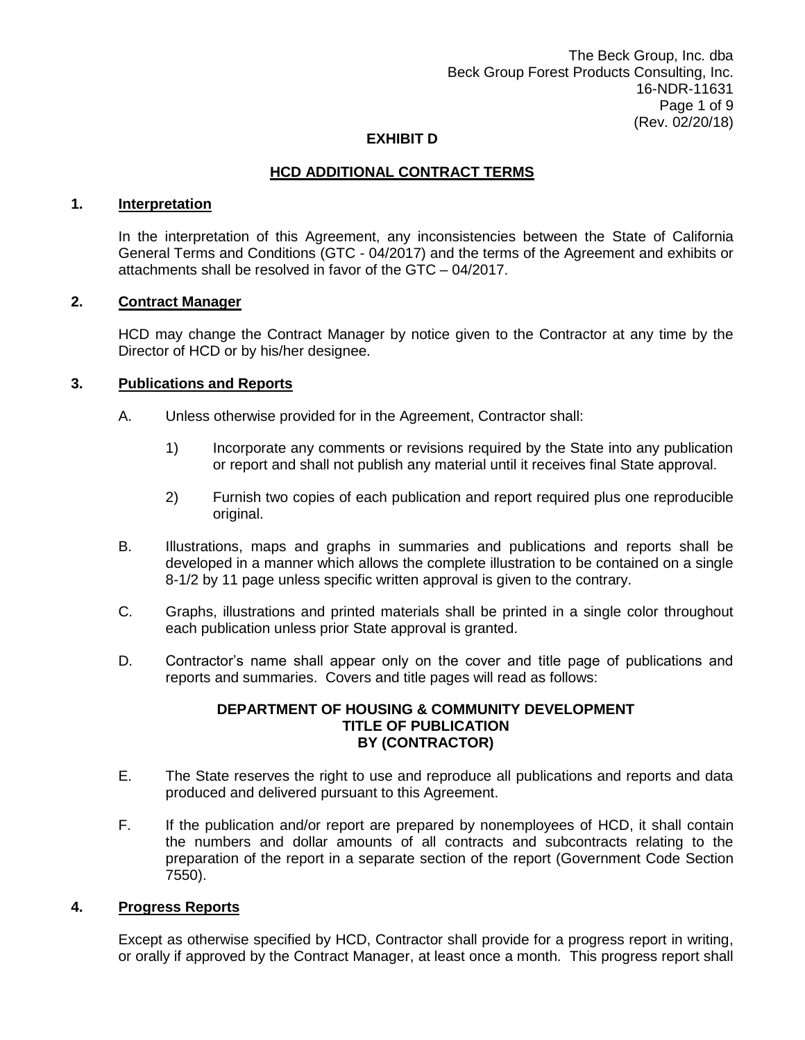The Beck Group, Inc. dba Beck Group Forest Products Consulting, Inc. 16-NDR-11631 Page 1 of 9 (Rev. 02/20/18)

### **EXHIBIT D**

### **HCD ADDITIONAL CONTRACT TERMS**

### **1. Interpretation**

In the interpretation of this Agreement, any inconsistencies between the State of California General Terms and Conditions (GTC - 04/2017) and the terms of the Agreement and exhibits or attachments shall be resolved in favor of the GTC – 04/2017.

#### **2. Contract Manager**

HCD may change the Contract Manager by notice given to the Contractor at any time by the Director of HCD or by his/her designee.

### **3. Publications and Reports**

- A. Unless otherwise provided for in the Agreement, Contractor shall:
	- 1) Incorporate any comments or revisions required by the State into any publication or report and shall not publish any material until it receives final State approval.
	- 2) Furnish two copies of each publication and report required plus one reproducible original.
- B. Illustrations, maps and graphs in summaries and publications and reports shall be developed in a manner which allows the complete illustration to be contained on a single 8-1/2 by 11 page unless specific written approval is given to the contrary.
- C. Graphs, illustrations and printed materials shall be printed in a single color throughout each publication unless prior State approval is granted.
- D. Contractor's name shall appear only on the cover and title page of publications and reports and summaries. Covers and title pages will read as follows:

#### **DEPARTMENT OF HOUSING & COMMUNITY DEVELOPMENT TITLE OF PUBLICATION BY (CONTRACTOR)**

- E. The State reserves the right to use and reproduce all publications and reports and data produced and delivered pursuant to this Agreement.
- F. If the publication and/or report are prepared by nonemployees of HCD, it shall contain the numbers and dollar amounts of all contracts and subcontracts relating to the preparation of the report in a separate section of the report (Government Code Section 7550).

#### **4. Progress Reports**

Except as otherwise specified by HCD, Contractor shall provide for a progress report in writing, or orally if approved by the Contract Manager, at least once a month. This progress report shall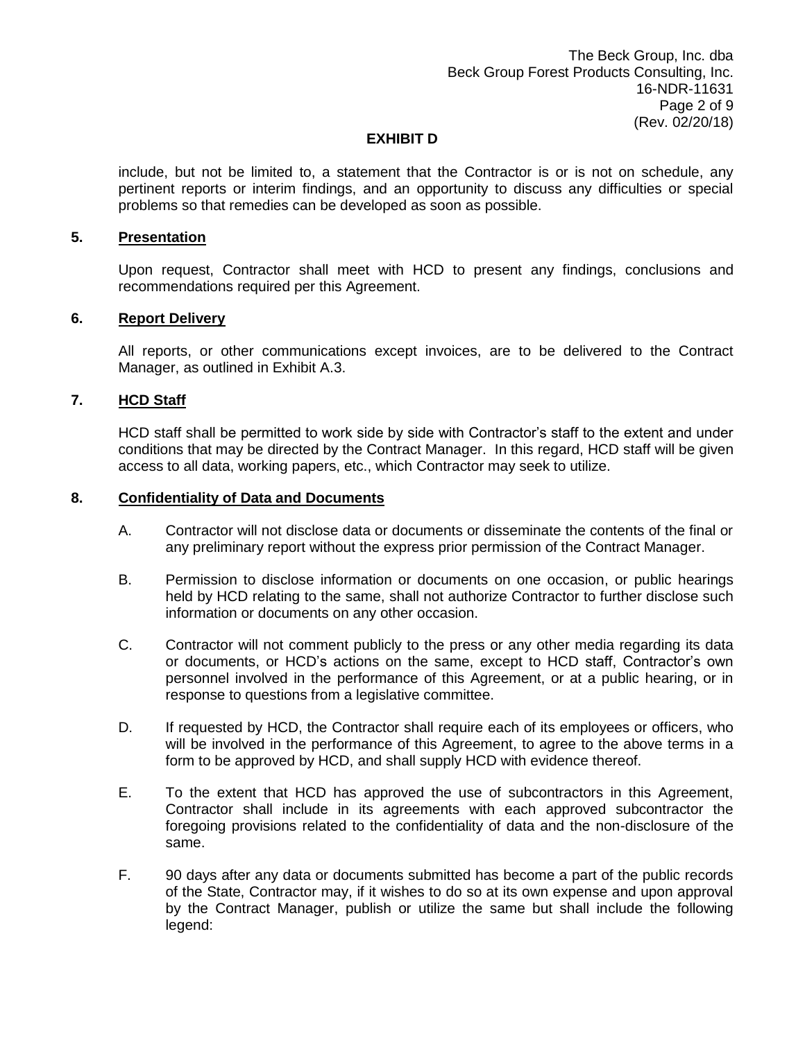include, but not be limited to, a statement that the Contractor is or is not on schedule, any pertinent reports or interim findings, and an opportunity to discuss any difficulties or special problems so that remedies can be developed as soon as possible.

#### **5. Presentation**

Upon request, Contractor shall meet with HCD to present any findings, conclusions and recommendations required per this Agreement.

#### **6. Report Delivery**

All reports, or other communications except invoices, are to be delivered to the Contract Manager, as outlined in Exhibit A.3.

#### **7. HCD Staff**

HCD staff shall be permitted to work side by side with Contractor's staff to the extent and under conditions that may be directed by the Contract Manager. In this regard, HCD staff will be given access to all data, working papers, etc., which Contractor may seek to utilize.

#### **8. Confidentiality of Data and Documents**

- A. Contractor will not disclose data or documents or disseminate the contents of the final or any preliminary report without the express prior permission of the Contract Manager.
- B. Permission to disclose information or documents on one occasion, or public hearings held by HCD relating to the same, shall not authorize Contractor to further disclose such information or documents on any other occasion.
- C. Contractor will not comment publicly to the press or any other media regarding its data or documents, or HCD's actions on the same, except to HCD staff, Contractor's own personnel involved in the performance of this Agreement, or at a public hearing, or in response to questions from a legislative committee.
- D. If requested by HCD, the Contractor shall require each of its employees or officers, who will be involved in the performance of this Agreement, to agree to the above terms in a form to be approved by HCD, and shall supply HCD with evidence thereof.
- E. To the extent that HCD has approved the use of subcontractors in this Agreement, Contractor shall include in its agreements with each approved subcontractor the foregoing provisions related to the confidentiality of data and the non-disclosure of the same.
- F. 90 days after any data or documents submitted has become a part of the public records of the State, Contractor may, if it wishes to do so at its own expense and upon approval by the Contract Manager, publish or utilize the same but shall include the following legend: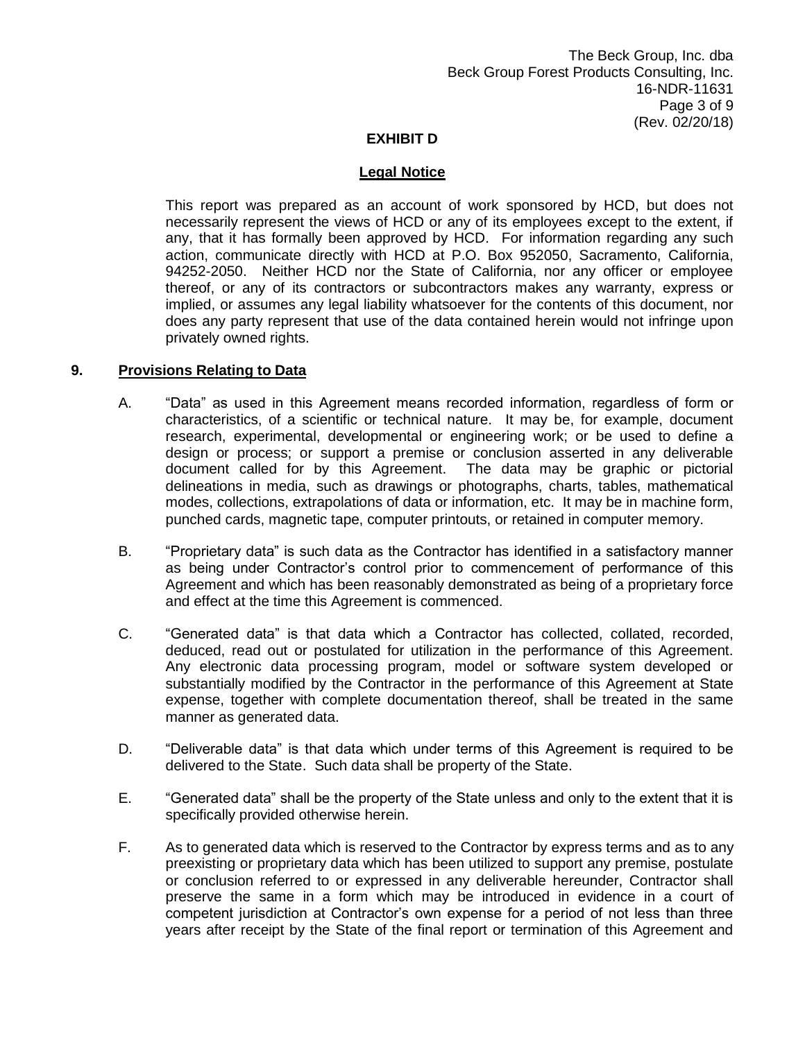### **Legal Notice**

This report was prepared as an account of work sponsored by HCD, but does not necessarily represent the views of HCD or any of its employees except to the extent, if any, that it has formally been approved by HCD. For information regarding any such action, communicate directly with HCD at P.O. Box 952050, Sacramento, California, 94252-2050. Neither HCD nor the State of California, nor any officer or employee thereof, or any of its contractors or subcontractors makes any warranty, express or implied, or assumes any legal liability whatsoever for the contents of this document, nor does any party represent that use of the data contained herein would not infringe upon privately owned rights.

#### **9. Provisions Relating to Data**

- A. "Data" as used in this Agreement means recorded information, regardless of form or characteristics, of a scientific or technical nature. It may be, for example, document research, experimental, developmental or engineering work; or be used to define a design or process; or support a premise or conclusion asserted in any deliverable document called for by this Agreement. The data may be graphic or pictorial delineations in media, such as drawings or photographs, charts, tables, mathematical modes, collections, extrapolations of data or information, etc. It may be in machine form, punched cards, magnetic tape, computer printouts, or retained in computer memory.
- B. "Proprietary data" is such data as the Contractor has identified in a satisfactory manner as being under Contractor's control prior to commencement of performance of this Agreement and which has been reasonably demonstrated as being of a proprietary force and effect at the time this Agreement is commenced.
- C. "Generated data" is that data which a Contractor has collected, collated, recorded, deduced, read out or postulated for utilization in the performance of this Agreement. Any electronic data processing program, model or software system developed or substantially modified by the Contractor in the performance of this Agreement at State expense, together with complete documentation thereof, shall be treated in the same manner as generated data.
- D. "Deliverable data" is that data which under terms of this Agreement is required to be delivered to the State. Such data shall be property of the State.
- E. "Generated data" shall be the property of the State unless and only to the extent that it is specifically provided otherwise herein.
- F. As to generated data which is reserved to the Contractor by express terms and as to any preexisting or proprietary data which has been utilized to support any premise, postulate or conclusion referred to or expressed in any deliverable hereunder, Contractor shall preserve the same in a form which may be introduced in evidence in a court of competent jurisdiction at Contractor's own expense for a period of not less than three years after receipt by the State of the final report or termination of this Agreement and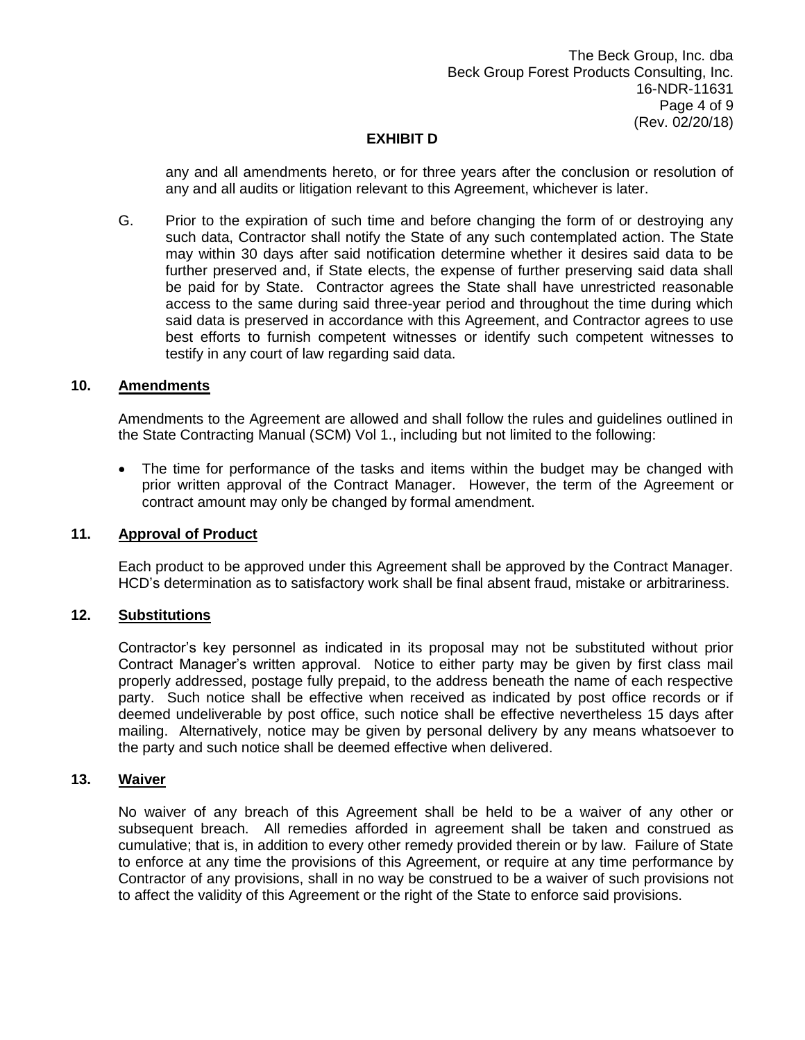any and all amendments hereto, or for three years after the conclusion or resolution of any and all audits or litigation relevant to this Agreement, whichever is later.

G. Prior to the expiration of such time and before changing the form of or destroying any such data, Contractor shall notify the State of any such contemplated action. The State may within 30 days after said notification determine whether it desires said data to be further preserved and, if State elects, the expense of further preserving said data shall be paid for by State. Contractor agrees the State shall have unrestricted reasonable access to the same during said three-year period and throughout the time during which said data is preserved in accordance with this Agreement, and Contractor agrees to use best efforts to furnish competent witnesses or identify such competent witnesses to testify in any court of law regarding said data.

### **10. Amendments**

Amendments to the Agreement are allowed and shall follow the rules and guidelines outlined in the State Contracting Manual (SCM) Vol 1., including but not limited to the following:

 The time for performance of the tasks and items within the budget may be changed with prior written approval of the Contract Manager. However, the term of the Agreement or contract amount may only be changed by formal amendment.

#### **11. Approval of Product**

Each product to be approved under this Agreement shall be approved by the Contract Manager. HCD's determination as to satisfactory work shall be final absent fraud, mistake or arbitrariness.

#### **12. Substitutions**

Contractor's key personnel as indicated in its proposal may not be substituted without prior Contract Manager's written approval. Notice to either party may be given by first class mail properly addressed, postage fully prepaid, to the address beneath the name of each respective party. Such notice shall be effective when received as indicated by post office records or if deemed undeliverable by post office, such notice shall be effective nevertheless 15 days after mailing. Alternatively, notice may be given by personal delivery by any means whatsoever to the party and such notice shall be deemed effective when delivered.

### **13. Waiver**

No waiver of any breach of this Agreement shall be held to be a waiver of any other or subsequent breach. All remedies afforded in agreement shall be taken and construed as cumulative; that is, in addition to every other remedy provided therein or by law. Failure of State to enforce at any time the provisions of this Agreement, or require at any time performance by Contractor of any provisions, shall in no way be construed to be a waiver of such provisions not to affect the validity of this Agreement or the right of the State to enforce said provisions.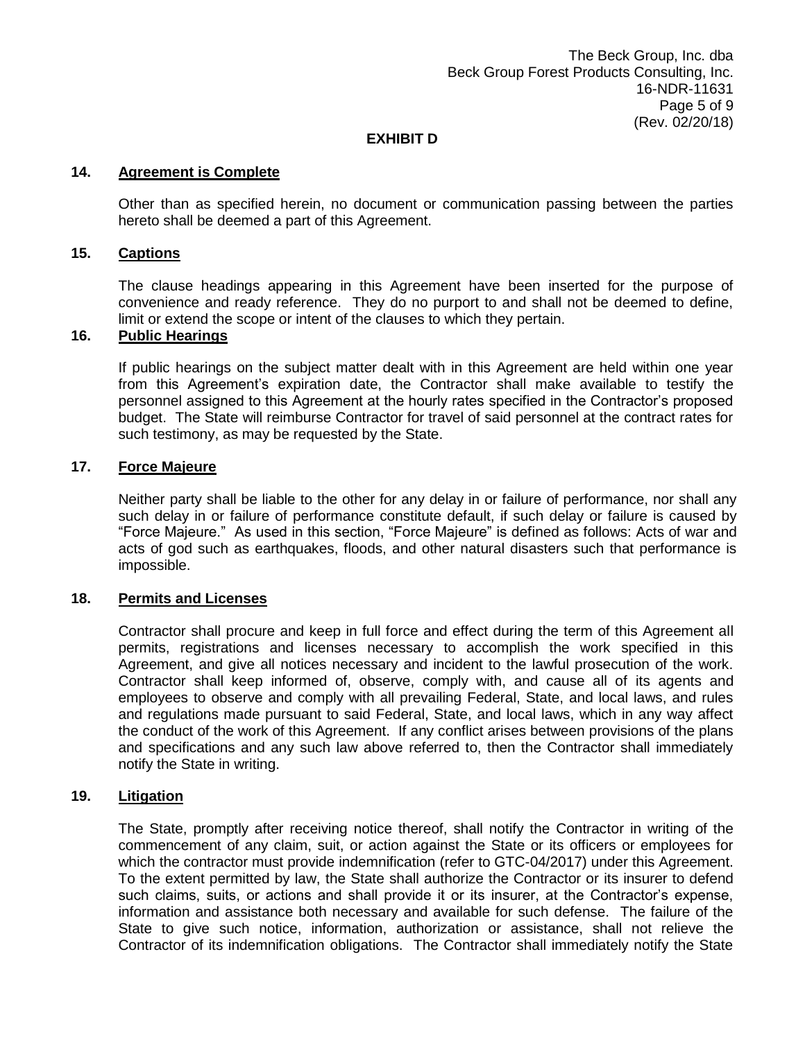### **14. Agreement is Complete**

Other than as specified herein, no document or communication passing between the parties hereto shall be deemed a part of this Agreement.

### **15. Captions**

The clause headings appearing in this Agreement have been inserted for the purpose of convenience and ready reference. They do no purport to and shall not be deemed to define, limit or extend the scope or intent of the clauses to which they pertain.

### **16. Public Hearings**

If public hearings on the subject matter dealt with in this Agreement are held within one year from this Agreement's expiration date, the Contractor shall make available to testify the personnel assigned to this Agreement at the hourly rates specified in the Contractor's proposed budget. The State will reimburse Contractor for travel of said personnel at the contract rates for such testimony, as may be requested by the State.

### **17. Force Majeure**

Neither party shall be liable to the other for any delay in or failure of performance, nor shall any such delay in or failure of performance constitute default, if such delay or failure is caused by "Force Majeure." As used in this section, "Force Majeure" is defined as follows: Acts of war and acts of god such as earthquakes, floods, and other natural disasters such that performance is impossible.

#### **18. Permits and Licenses**

Contractor shall procure and keep in full force and effect during the term of this Agreement all permits, registrations and licenses necessary to accomplish the work specified in this Agreement, and give all notices necessary and incident to the lawful prosecution of the work. Contractor shall keep informed of, observe, comply with, and cause all of its agents and employees to observe and comply with all prevailing Federal, State, and local laws, and rules and regulations made pursuant to said Federal, State, and local laws, which in any way affect the conduct of the work of this Agreement. If any conflict arises between provisions of the plans and specifications and any such law above referred to, then the Contractor shall immediately notify the State in writing.

### **19. Litigation**

The State, promptly after receiving notice thereof, shall notify the Contractor in writing of the commencement of any claim, suit, or action against the State or its officers or employees for which the contractor must provide indemnification (refer to GTC-04/2017) under this Agreement. To the extent permitted by law, the State shall authorize the Contractor or its insurer to defend such claims, suits, or actions and shall provide it or its insurer, at the Contractor's expense, information and assistance both necessary and available for such defense. The failure of the State to give such notice, information, authorization or assistance, shall not relieve the Contractor of its indemnification obligations. The Contractor shall immediately notify the State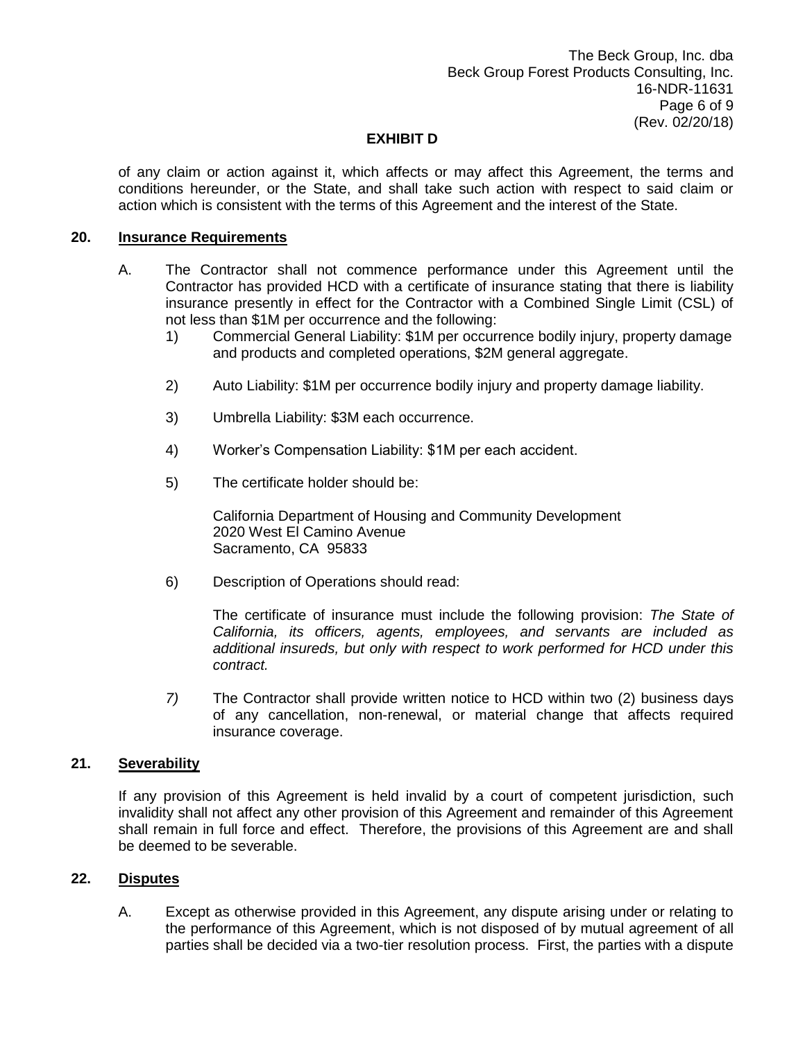of any claim or action against it, which affects or may affect this Agreement, the terms and conditions hereunder, or the State, and shall take such action with respect to said claim or action which is consistent with the terms of this Agreement and the interest of the State.

### **20. Insurance Requirements**

- A. The Contractor shall not commence performance under this Agreement until the Contractor has provided HCD with a certificate of insurance stating that there is liability insurance presently in effect for the Contractor with a Combined Single Limit (CSL) of not less than \$1M per occurrence and the following:
	- 1) Commercial General Liability: \$1M per occurrence bodily injury, property damage and products and completed operations, \$2M general aggregate.
	- 2) Auto Liability: \$1M per occurrence bodily injury and property damage liability.
	- 3) Umbrella Liability: \$3M each occurrence.
	- 4) Worker's Compensation Liability: \$1M per each accident.
	- 5) The certificate holder should be:

California Department of Housing and Community Development 2020 West El Camino Avenue Sacramento, CA 95833

6) Description of Operations should read:

The certificate of insurance must include the following provision: *The State of California, its officers, agents, employees, and servants are included as additional insureds, but only with respect to work performed for HCD under this contract.*

*7)* The Contractor shall provide written notice to HCD within two (2) business days of any cancellation, non-renewal, or material change that affects required insurance coverage.

### **21. Severability**

If any provision of this Agreement is held invalid by a court of competent jurisdiction, such invalidity shall not affect any other provision of this Agreement and remainder of this Agreement shall remain in full force and effect. Therefore, the provisions of this Agreement are and shall be deemed to be severable.

#### **22. Disputes**

A. Except as otherwise provided in this Agreement, any dispute arising under or relating to the performance of this Agreement, which is not disposed of by mutual agreement of all parties shall be decided via a two-tier resolution process. First, the parties with a dispute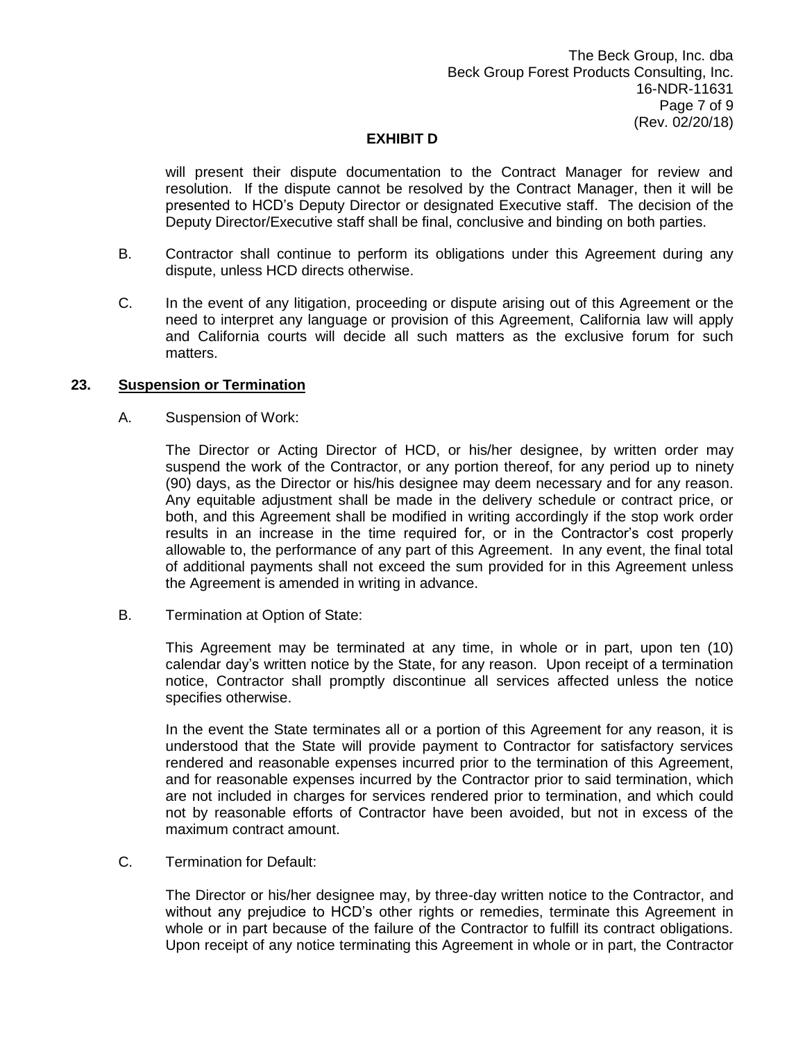will present their dispute documentation to the Contract Manager for review and resolution. If the dispute cannot be resolved by the Contract Manager, then it will be presented to HCD's Deputy Director or designated Executive staff. The decision of the Deputy Director/Executive staff shall be final, conclusive and binding on both parties.

- B. Contractor shall continue to perform its obligations under this Agreement during any dispute, unless HCD directs otherwise.
- C. In the event of any litigation, proceeding or dispute arising out of this Agreement or the need to interpret any language or provision of this Agreement, California law will apply and California courts will decide all such matters as the exclusive forum for such matters.

### **23. Suspension or Termination**

A. Suspension of Work:

The Director or Acting Director of HCD, or his/her designee, by written order may suspend the work of the Contractor, or any portion thereof, for any period up to ninety (90) days, as the Director or his/his designee may deem necessary and for any reason. Any equitable adjustment shall be made in the delivery schedule or contract price, or both, and this Agreement shall be modified in writing accordingly if the stop work order results in an increase in the time required for, or in the Contractor's cost properly allowable to, the performance of any part of this Agreement. In any event, the final total of additional payments shall not exceed the sum provided for in this Agreement unless the Agreement is amended in writing in advance.

B. Termination at Option of State:

This Agreement may be terminated at any time, in whole or in part, upon ten (10) calendar day's written notice by the State, for any reason. Upon receipt of a termination notice, Contractor shall promptly discontinue all services affected unless the notice specifies otherwise.

In the event the State terminates all or a portion of this Agreement for any reason, it is understood that the State will provide payment to Contractor for satisfactory services rendered and reasonable expenses incurred prior to the termination of this Agreement, and for reasonable expenses incurred by the Contractor prior to said termination, which are not included in charges for services rendered prior to termination, and which could not by reasonable efforts of Contractor have been avoided, but not in excess of the maximum contract amount.

C. Termination for Default:

The Director or his/her designee may, by three-day written notice to the Contractor, and without any prejudice to HCD's other rights or remedies, terminate this Agreement in whole or in part because of the failure of the Contractor to fulfill its contract obligations. Upon receipt of any notice terminating this Agreement in whole or in part, the Contractor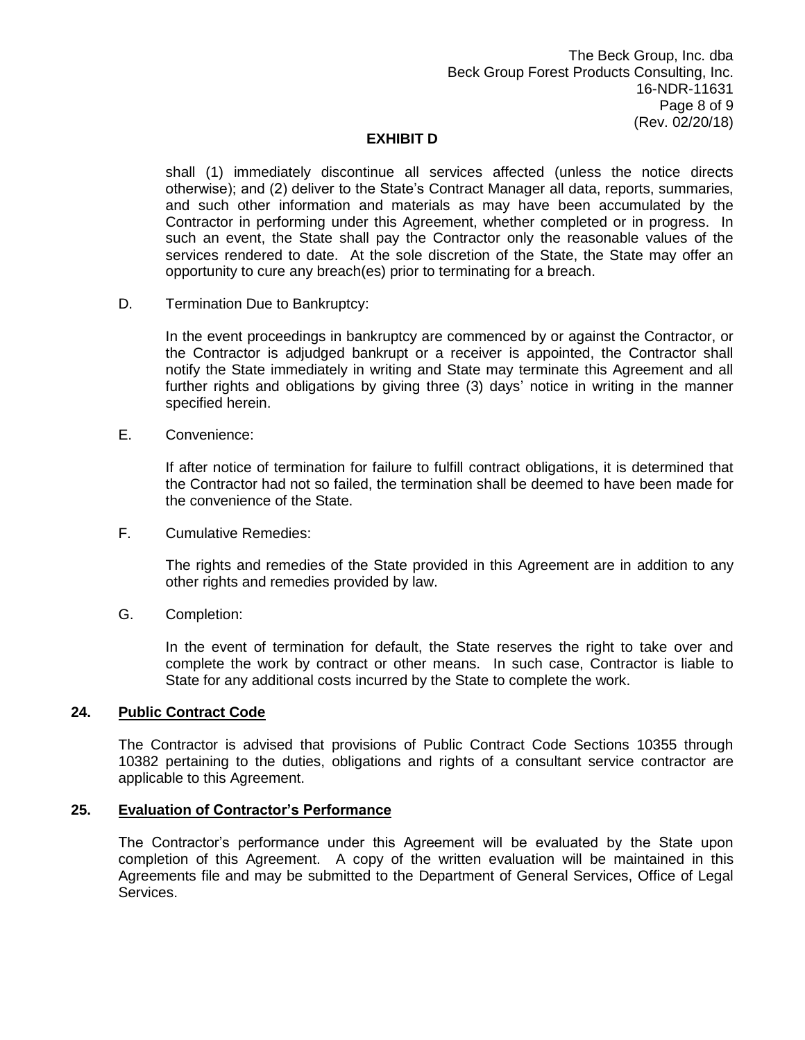shall (1) immediately discontinue all services affected (unless the notice directs otherwise); and (2) deliver to the State's Contract Manager all data, reports, summaries, and such other information and materials as may have been accumulated by the Contractor in performing under this Agreement, whether completed or in progress. In such an event, the State shall pay the Contractor only the reasonable values of the services rendered to date. At the sole discretion of the State, the State may offer an opportunity to cure any breach(es) prior to terminating for a breach.

D. Termination Due to Bankruptcy:

In the event proceedings in bankruptcy are commenced by or against the Contractor, or the Contractor is adjudged bankrupt or a receiver is appointed, the Contractor shall notify the State immediately in writing and State may terminate this Agreement and all further rights and obligations by giving three (3) days' notice in writing in the manner specified herein.

E. Convenience:

If after notice of termination for failure to fulfill contract obligations, it is determined that the Contractor had not so failed, the termination shall be deemed to have been made for the convenience of the State.

F. Cumulative Remedies:

The rights and remedies of the State provided in this Agreement are in addition to any other rights and remedies provided by law.

G. Completion:

In the event of termination for default, the State reserves the right to take over and complete the work by contract or other means. In such case, Contractor is liable to State for any additional costs incurred by the State to complete the work.

### **24. Public Contract Code**

The Contractor is advised that provisions of Public Contract Code Sections 10355 through 10382 pertaining to the duties, obligations and rights of a consultant service contractor are applicable to this Agreement.

### **25. Evaluation of Contractor's Performance**

The Contractor's performance under this Agreement will be evaluated by the State upon completion of this Agreement. A copy of the written evaluation will be maintained in this Agreements file and may be submitted to the Department of General Services, Office of Legal Services.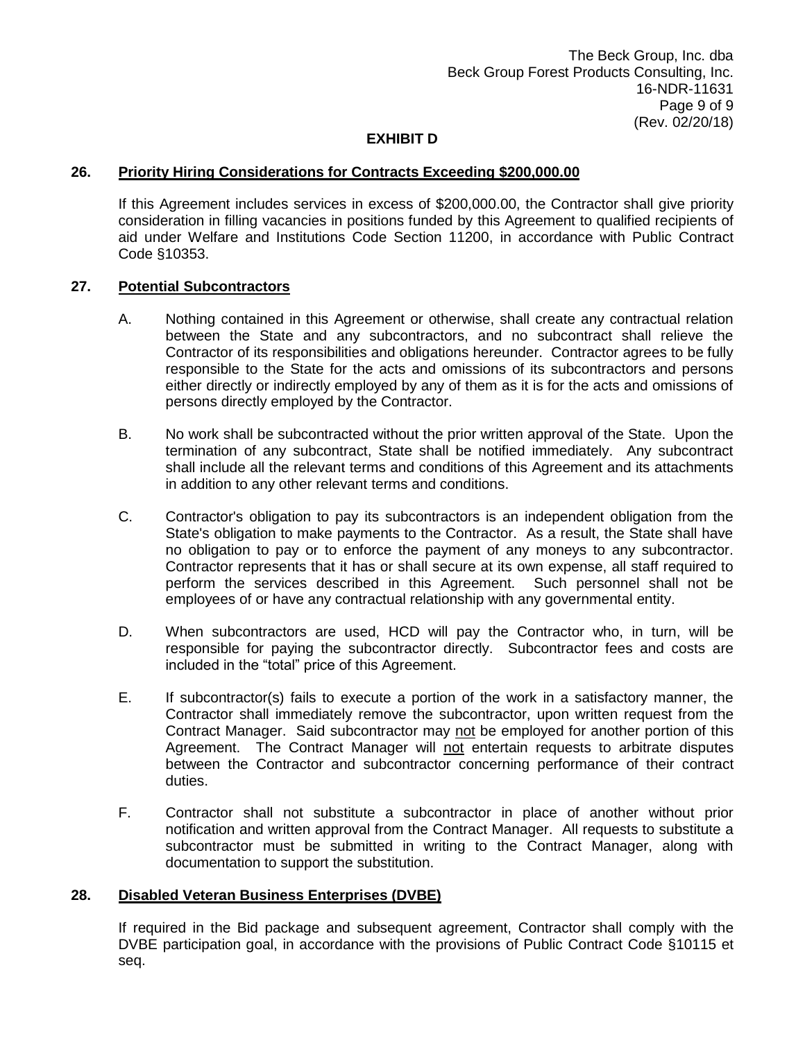### **26. Priority Hiring Considerations for Contracts Exceeding \$200,000.00**

If this Agreement includes services in excess of \$200,000.00, the Contractor shall give priority consideration in filling vacancies in positions funded by this Agreement to qualified recipients of aid under Welfare and Institutions Code Section 11200, in accordance with Public Contract Code §10353.

#### **27. Potential Subcontractors**

- A. Nothing contained in this Agreement or otherwise, shall create any contractual relation between the State and any subcontractors, and no subcontract shall relieve the Contractor of its responsibilities and obligations hereunder. Contractor agrees to be fully responsible to the State for the acts and omissions of its subcontractors and persons either directly or indirectly employed by any of them as it is for the acts and omissions of persons directly employed by the Contractor.
- B. No work shall be subcontracted without the prior written approval of the State. Upon the termination of any subcontract, State shall be notified immediately. Any subcontract shall include all the relevant terms and conditions of this Agreement and its attachments in addition to any other relevant terms and conditions.
- C. Contractor's obligation to pay its subcontractors is an independent obligation from the State's obligation to make payments to the Contractor. As a result, the State shall have no obligation to pay or to enforce the payment of any moneys to any subcontractor. Contractor represents that it has or shall secure at its own expense, all staff required to perform the services described in this Agreement. Such personnel shall not be employees of or have any contractual relationship with any governmental entity.
- D. When subcontractors are used, HCD will pay the Contractor who, in turn, will be responsible for paying the subcontractor directly. Subcontractor fees and costs are included in the "total" price of this Agreement.
- E. If subcontractor(s) fails to execute a portion of the work in a satisfactory manner, the Contractor shall immediately remove the subcontractor, upon written request from the Contract Manager. Said subcontractor may not be employed for another portion of this Agreement. The Contract Manager will not entertain requests to arbitrate disputes between the Contractor and subcontractor concerning performance of their contract duties.
- F. Contractor shall not substitute a subcontractor in place of another without prior notification and written approval from the Contract Manager. All requests to substitute a subcontractor must be submitted in writing to the Contract Manager, along with documentation to support the substitution.

#### **28. Disabled Veteran Business Enterprises (DVBE)**

If required in the Bid package and subsequent agreement, Contractor shall comply with the DVBE participation goal, in accordance with the provisions of Public Contract Code §10115 et seq.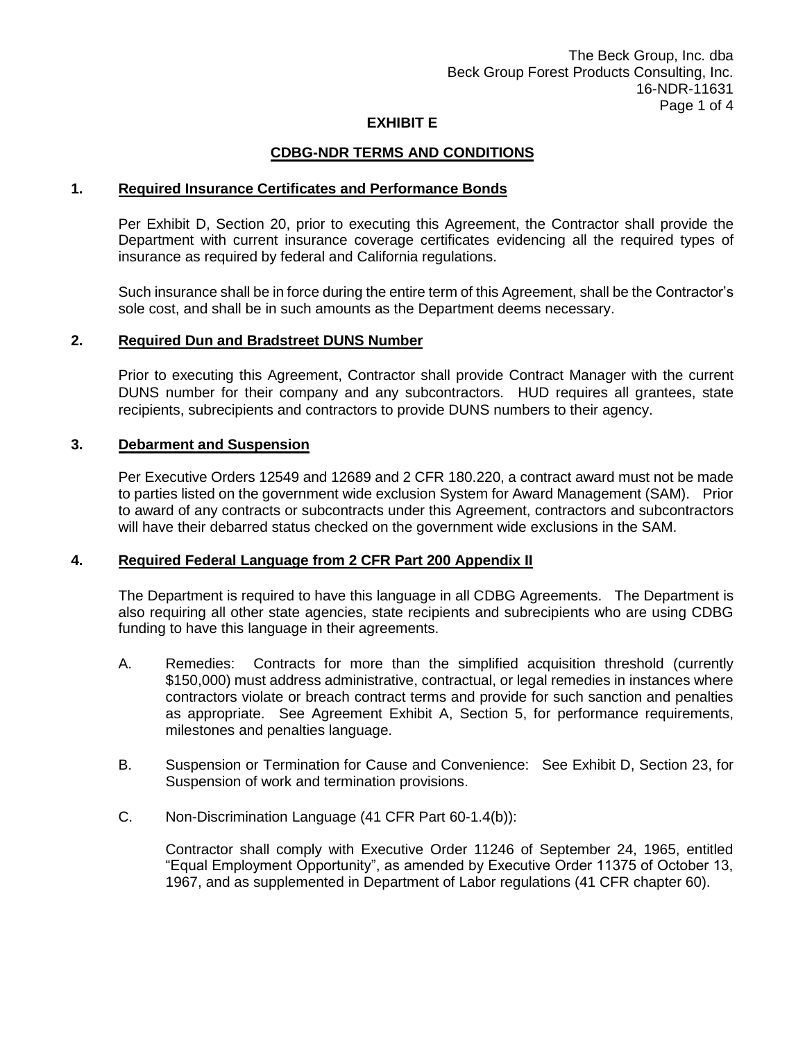### **CDBG-NDR TERMS AND CONDITIONS**

#### **1. Required Insurance Certificates and Performance Bonds**

Per Exhibit D, Section 20, prior to executing this Agreement, the Contractor shall provide the Department with current insurance coverage certificates evidencing all the required types of insurance as required by federal and California regulations.

Such insurance shall be in force during the entire term of this Agreement, shall be the Contractor's sole cost, and shall be in such amounts as the Department deems necessary.

### **2. Required Dun and Bradstreet DUNS Number**

Prior to executing this Agreement, Contractor shall provide Contract Manager with the current DUNS number for their company and any subcontractors. HUD requires all grantees, state recipients, subrecipients and contractors to provide DUNS numbers to their agency.

#### **3. Debarment and Suspension**

Per Executive Orders 12549 and 12689 and 2 CFR 180.220, a contract award must not be made to parties listed on the government wide exclusion System for Award Management (SAM). Prior to award of any contracts or subcontracts under this Agreement, contractors and subcontractors will have their debarred status checked on the government wide exclusions in the SAM.

#### **4. Required Federal Language from 2 CFR Part 200 Appendix II**

The Department is required to have this language in all CDBG Agreements. The Department is also requiring all other state agencies, state recipients and subrecipients who are using CDBG funding to have this language in their agreements.

- A. Remedies: Contracts for more than the simplified acquisition threshold (currently \$150,000) must address administrative, contractual, or legal remedies in instances where contractors violate or breach contract terms and provide for such sanction and penalties as appropriate. See Agreement Exhibit A, Section 5, for performance requirements, milestones and penalties language.
- B. Suspension or Termination for Cause and Convenience: See Exhibit D, Section 23, for Suspension of work and termination provisions.
- C. Non-Discrimination Language (41 CFR Part 60-1.4(b)):

Contractor shall comply with Executive Order 11246 of September 24, 1965, entitled "Equal Employment Opportunity", as amended by Executive Order 11375 of October 13, 1967, and as supplemented in Department of Labor regulations (41 CFR chapter 60).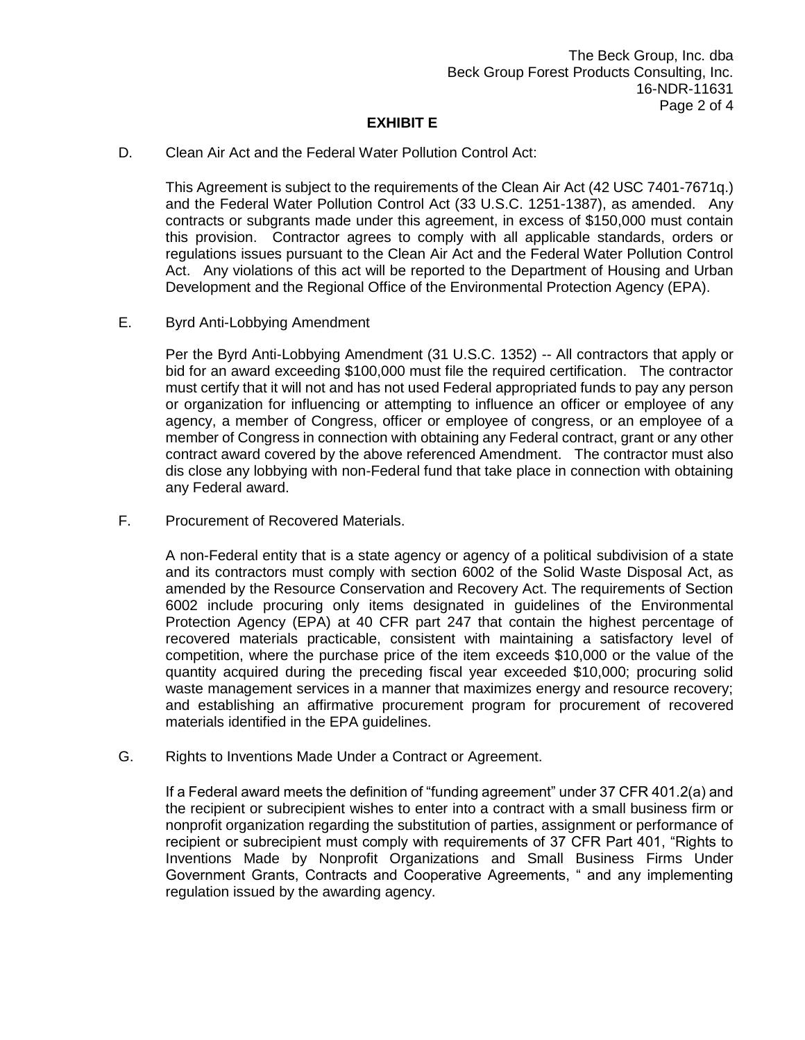D. Clean Air Act and the Federal Water Pollution Control Act:

This Agreement is subject to the requirements of the Clean Air Act (42 USC 7401-7671q.) and the Federal Water Pollution Control Act (33 U.S.C. 1251-1387), as amended. Any contracts or subgrants made under this agreement, in excess of \$150,000 must contain this provision. Contractor agrees to comply with all applicable standards, orders or regulations issues pursuant to the Clean Air Act and the Federal Water Pollution Control Act. Any violations of this act will be reported to the Department of Housing and Urban Development and the Regional Office of the Environmental Protection Agency (EPA).

E. Byrd Anti-Lobbying Amendment

Per the Byrd Anti-Lobbying Amendment (31 U.S.C. 1352) -- All contractors that apply or bid for an award exceeding \$100,000 must file the required certification. The contractor must certify that it will not and has not used Federal appropriated funds to pay any person or organization for influencing or attempting to influence an officer or employee of any agency, a member of Congress, officer or employee of congress, or an employee of a member of Congress in connection with obtaining any Federal contract, grant or any other contract award covered by the above referenced Amendment. The contractor must also dis close any lobbying with non-Federal fund that take place in connection with obtaining any Federal award.

F. Procurement of Recovered Materials.

A non-Federal entity that is a state agency or agency of a political subdivision of a state and its contractors must comply with section 6002 of the Solid Waste Disposal Act, as amended by the Resource Conservation and Recovery Act. The requirements of Section 6002 include procuring only items designated in guidelines of the Environmental Protection Agency (EPA) at 40 CFR part 247 that contain the highest percentage of recovered materials practicable, consistent with maintaining a satisfactory level of competition, where the purchase price of the item exceeds \$10,000 or the value of the quantity acquired during the preceding fiscal year exceeded \$10,000; procuring solid waste management services in a manner that maximizes energy and resource recovery; and establishing an affirmative procurement program for procurement of recovered materials identified in the EPA guidelines.

G. Rights to Inventions Made Under a Contract or Agreement.

If a Federal award meets the definition of "funding agreement" under 37 CFR 401.2(a) and the recipient or subrecipient wishes to enter into a contract with a small business firm or nonprofit organization regarding the substitution of parties, assignment or performance of recipient or subrecipient must comply with requirements of 37 CFR Part 401, "Rights to Inventions Made by Nonprofit Organizations and Small Business Firms Under Government Grants, Contracts and Cooperative Agreements, " and any implementing regulation issued by the awarding agency.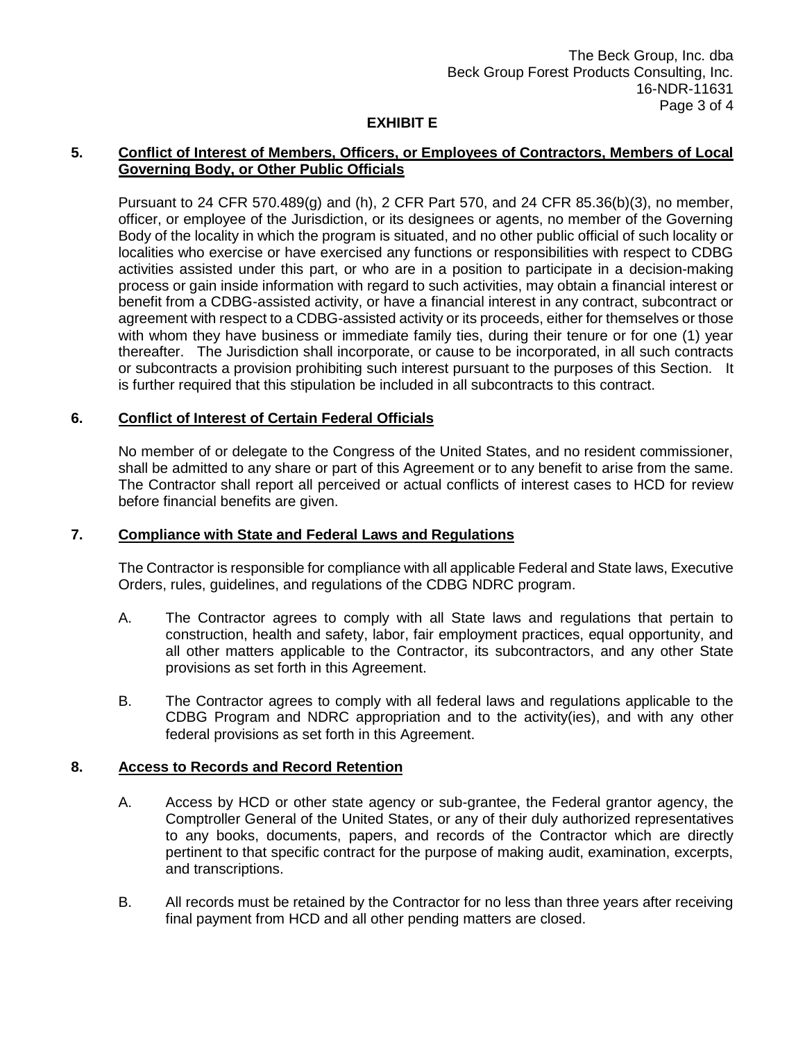### **5. Conflict of Interest of Members, Officers, or Employees of Contractors, Members of Local Governing Body, or Other Public Officials**

Pursuant to 24 CFR 570.489(g) and (h), 2 CFR Part 570, and 24 CFR 85.36(b)(3), no member, officer, or employee of the Jurisdiction, or its designees or agents, no member of the Governing Body of the locality in which the program is situated, and no other public official of such locality or localities who exercise or have exercised any functions or responsibilities with respect to CDBG activities assisted under this part, or who are in a position to participate in a decision-making process or gain inside information with regard to such activities, may obtain a financial interest or benefit from a CDBG-assisted activity, or have a financial interest in any contract, subcontract or agreement with respect to a CDBG-assisted activity or its proceeds, either for themselves or those with whom they have business or immediate family ties, during their tenure or for one (1) year thereafter. The Jurisdiction shall incorporate, or cause to be incorporated, in all such contracts or subcontracts a provision prohibiting such interest pursuant to the purposes of this Section. It is further required that this stipulation be included in all subcontracts to this contract.

### **6. Conflict of Interest of Certain Federal Officials**

No member of or delegate to the Congress of the United States, and no resident commissioner, shall be admitted to any share or part of this Agreement or to any benefit to arise from the same. The Contractor shall report all perceived or actual conflicts of interest cases to HCD for review before financial benefits are given.

### **7. Compliance with State and Federal Laws and Regulations**

The Contractor is responsible for compliance with all applicable Federal and State laws, Executive Orders, rules, guidelines, and regulations of the CDBG NDRC program.

- A. The Contractor agrees to comply with all State laws and regulations that pertain to construction, health and safety, labor, fair employment practices, equal opportunity, and all other matters applicable to the Contractor, its subcontractors, and any other State provisions as set forth in this Agreement.
- B. The Contractor agrees to comply with all federal laws and regulations applicable to the CDBG Program and NDRC appropriation and to the activity(ies), and with any other federal provisions as set forth in this Agreement.

### **8. Access to Records and Record Retention**

- A. Access by HCD or other state agency or sub-grantee, the Federal grantor agency, the Comptroller General of the United States, or any of their duly authorized representatives to any books, documents, papers, and records of the Contractor which are directly pertinent to that specific contract for the purpose of making audit, examination, excerpts, and transcriptions.
- B. All records must be retained by the Contractor for no less than three years after receiving final payment from HCD and all other pending matters are closed.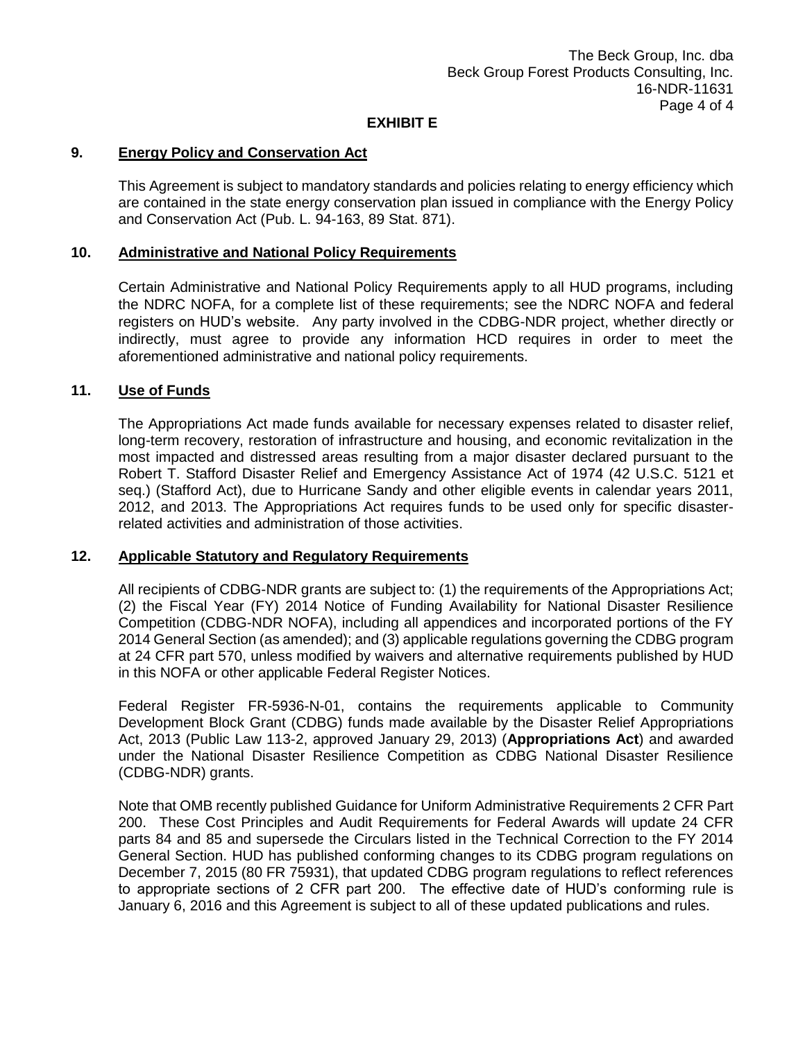### **9. Energy Policy and Conservation Act**

This Agreement is subject to mandatory standards and policies relating to energy efficiency which are contained in the state energy conservation plan issued in compliance with the Energy Policy and Conservation Act (Pub. L. 94-163, 89 Stat. 871).

### **10. Administrative and National Policy Requirements**

Certain Administrative and National Policy Requirements apply to all HUD programs, including the NDRC NOFA, for a complete list of these requirements; see the NDRC NOFA and federal registers on HUD's website. Any party involved in the CDBG-NDR project, whether directly or indirectly, must agree to provide any information HCD requires in order to meet the aforementioned administrative and national policy requirements.

## **11. Use of Funds**

The Appropriations Act made funds available for necessary expenses related to disaster relief, long-term recovery, restoration of infrastructure and housing, and economic revitalization in the most impacted and distressed areas resulting from a major disaster declared pursuant to the Robert T. Stafford Disaster Relief and Emergency Assistance Act of 1974 (42 U.S.C. 5121 et seq.) (Stafford Act), due to Hurricane Sandy and other eligible events in calendar years 2011, 2012, and 2013. The Appropriations Act requires funds to be used only for specific disasterrelated activities and administration of those activities.

#### **12. Applicable Statutory and Regulatory Requirements**

All recipients of CDBG-NDR grants are subject to: (1) the requirements of the Appropriations Act; (2) the Fiscal Year (FY) 2014 Notice of Funding Availability for National Disaster Resilience Competition (CDBG-NDR NOFA), including all appendices and incorporated portions of the FY 2014 General Section (as amended); and (3) applicable regulations governing the CDBG program at 24 CFR part 570, unless modified by waivers and alternative requirements published by HUD in this NOFA or other applicable Federal Register Notices.

Federal Register FR-5936-N-01, contains the requirements applicable to Community Development Block Grant (CDBG) funds made available by the Disaster Relief Appropriations Act, 2013 (Public Law 113-2, approved January 29, 2013) (**Appropriations Act**) and awarded under the National Disaster Resilience Competition as CDBG National Disaster Resilience (CDBG-NDR) grants.

Note that OMB recently published Guidance for Uniform Administrative Requirements 2 CFR Part 200. These Cost Principles and Audit Requirements for Federal Awards will update 24 CFR parts 84 and 85 and supersede the Circulars listed in the Technical Correction to the FY 2014 General Section. HUD has published conforming changes to its CDBG program regulations on December 7, 2015 (80 FR 75931), that updated CDBG program regulations to reflect references to appropriate sections of 2 CFR part 200. The effective date of HUD's conforming rule is January 6, 2016 and this Agreement is subject to all of these updated publications and rules.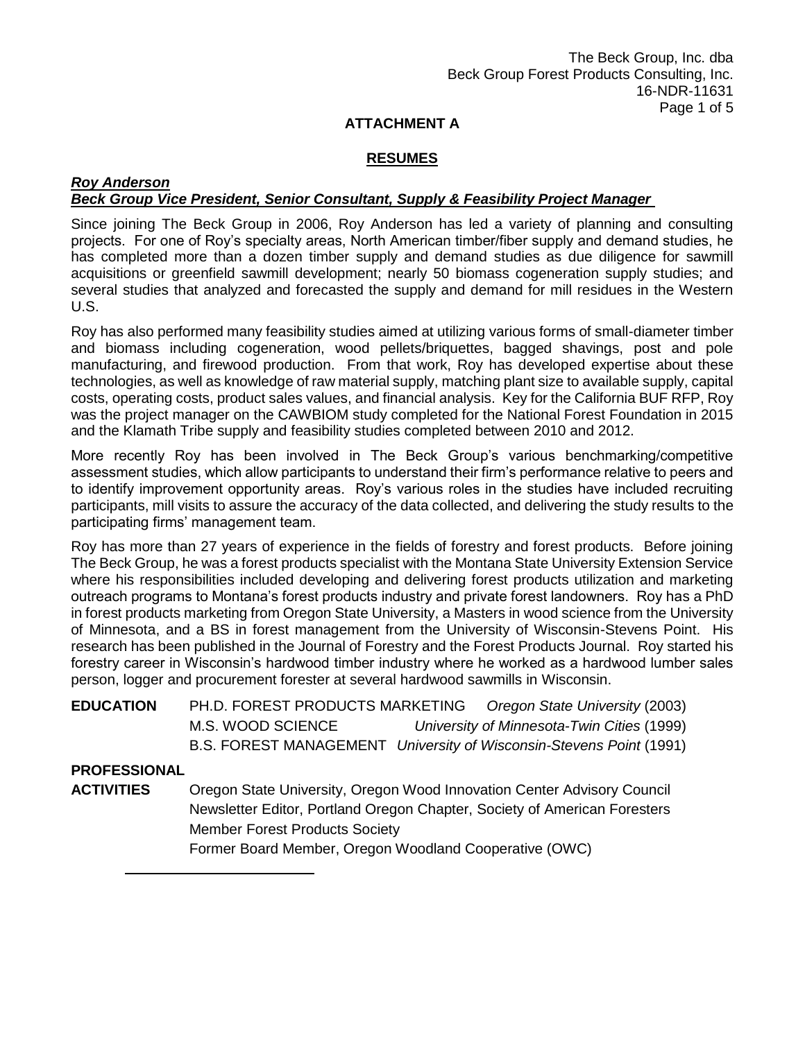## **RESUMES**

#### *Roy Anderson Beck Group Vice President, Senior Consultant, Supply & Feasibility Project Manager*

Since joining The Beck Group in 2006, Roy Anderson has led a variety of planning and consulting projects. For one of Roy's specialty areas, North American timber/fiber supply and demand studies, he has completed more than a dozen timber supply and demand studies as due diligence for sawmill acquisitions or greenfield sawmill development; nearly 50 biomass cogeneration supply studies; and several studies that analyzed and forecasted the supply and demand for mill residues in the Western U.S.

Roy has also performed many feasibility studies aimed at utilizing various forms of small-diameter timber and biomass including cogeneration, wood pellets/briquettes, bagged shavings, post and pole manufacturing, and firewood production. From that work, Roy has developed expertise about these technologies, as well as knowledge of raw material supply, matching plant size to available supply, capital costs, operating costs, product sales values, and financial analysis. Key for the California BUF RFP, Roy was the project manager on the CAWBIOM study completed for the National Forest Foundation in 2015 and the Klamath Tribe supply and feasibility studies completed between 2010 and 2012.

More recently Roy has been involved in The Beck Group's various benchmarking/competitive assessment studies, which allow participants to understand their firm's performance relative to peers and to identify improvement opportunity areas. Roy's various roles in the studies have included recruiting participants, mill visits to assure the accuracy of the data collected, and delivering the study results to the participating firms' management team.

Roy has more than 27 years of experience in the fields of forestry and forest products. Before joining The Beck Group, he was a forest products specialist with the Montana State University Extension Service where his responsibilities included developing and delivering forest products utilization and marketing outreach programs to Montana's forest products industry and private forest landowners. Roy has a PhD in forest products marketing from Oregon State University, a Masters in wood science from the University of Minnesota, and a BS in forest management from the University of Wisconsin-Stevens Point. His research has been published in the Journal of Forestry and the Forest Products Journal. Roy started his forestry career in Wisconsin's hardwood timber industry where he worked as a hardwood lumber sales person, logger and procurement forester at several hardwood sawmills in Wisconsin.

| EDUCATION | PH.D. FOREST PRODUCTS MARKETING                                     |  | Oregon State University (2003)             |  |  |
|-----------|---------------------------------------------------------------------|--|--------------------------------------------|--|--|
|           | M.S. WOOD SCIENCE                                                   |  | University of Minnesota-Twin Cities (1999) |  |  |
|           | B.S. FOREST MANAGEMENT University of Wisconsin-Stevens Point (1991) |  |                                            |  |  |

### **PROFESSIONAL**

**ACTIVITIES** Oregon State University, Oregon Wood Innovation Center Advisory Council Newsletter Editor, Portland Oregon Chapter, Society of American Foresters Member Forest Products Society

Former Board Member, Oregon Woodland Cooperative (OWC)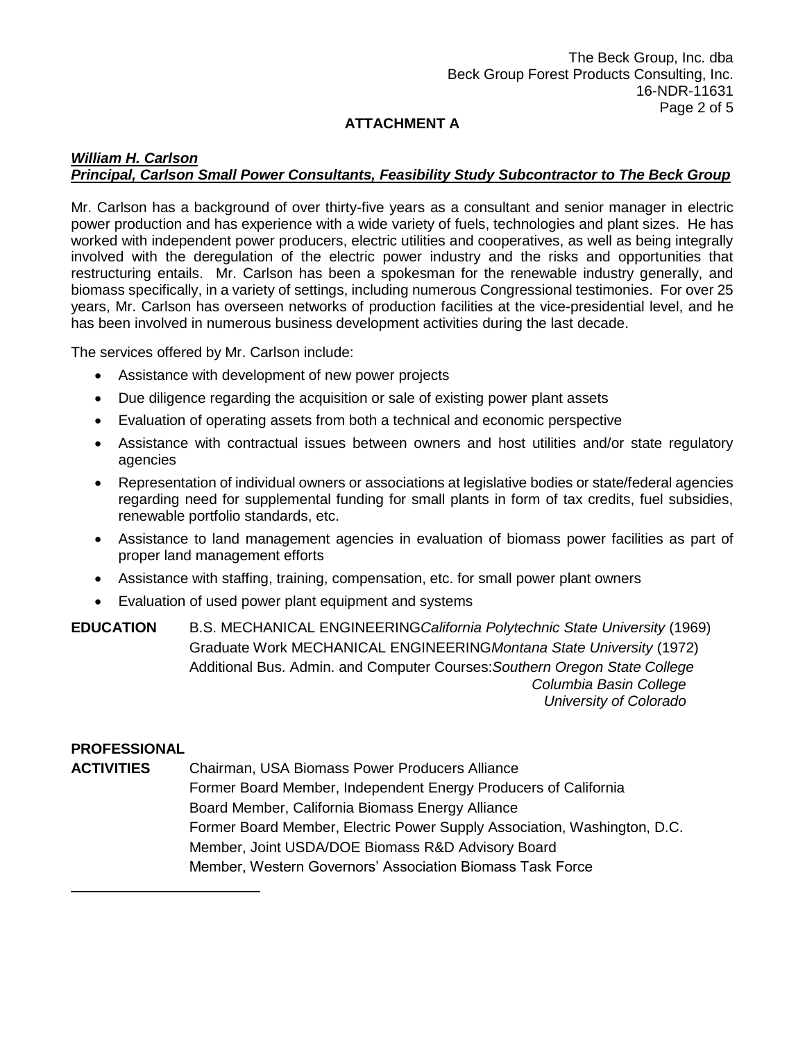### *William H. Carlson Principal, Carlson Small Power Consultants, Feasibility Study Subcontractor to The Beck Group*

Mr. Carlson has a background of over thirty-five years as a consultant and senior manager in electric power production and has experience with a wide variety of fuels, technologies and plant sizes. He has worked with independent power producers, electric utilities and cooperatives, as well as being integrally involved with the deregulation of the electric power industry and the risks and opportunities that restructuring entails. Mr. Carlson has been a spokesman for the renewable industry generally, and biomass specifically, in a variety of settings, including numerous Congressional testimonies. For over 25 years, Mr. Carlson has overseen networks of production facilities at the vice-presidential level, and he has been involved in numerous business development activities during the last decade.

The services offered by Mr. Carlson include:

- Assistance with development of new power projects
- Due diligence regarding the acquisition or sale of existing power plant assets
- Evaluation of operating assets from both a technical and economic perspective
- Assistance with contractual issues between owners and host utilities and/or state regulatory agencies
- Representation of individual owners or associations at legislative bodies or state/federal agencies regarding need for supplemental funding for small plants in form of tax credits, fuel subsidies, renewable portfolio standards, etc.
- Assistance to land management agencies in evaluation of biomass power facilities as part of proper land management efforts
- Assistance with staffing, training, compensation, etc. for small power plant owners
- Evaluation of used power plant equipment and systems

**EDUCATION** B.S. MECHANICAL ENGINEERING*California Polytechnic State University* (1969) Graduate Work MECHANICAL ENGINEERING*Montana State University* (1972) Additional Bus. Admin. and Computer Courses:*Southern Oregon State College Columbia Basin College University of Colorado*

### **PROFESSIONAL**

**ACTIVITIES** Chairman, USA Biomass Power Producers Alliance Former Board Member, Independent Energy Producers of California Board Member, California Biomass Energy Alliance Former Board Member, Electric Power Supply Association, Washington, D.C. Member, Joint USDA/DOE Biomass R&D Advisory Board Member, Western Governors' Association Biomass Task Force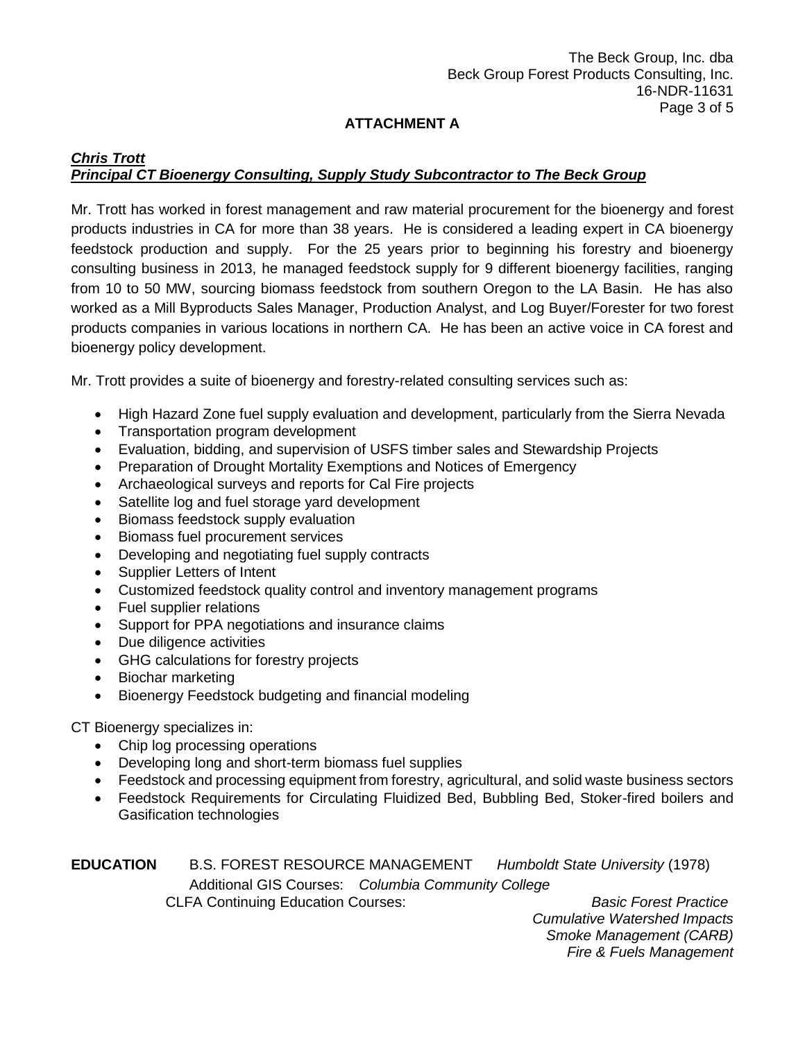## *Chris Trott Principal CT Bioenergy Consulting, Supply Study Subcontractor to The Beck Group*

Mr. Trott has worked in forest management and raw material procurement for the bioenergy and forest products industries in CA for more than 38 years. He is considered a leading expert in CA bioenergy feedstock production and supply. For the 25 years prior to beginning his forestry and bioenergy consulting business in 2013, he managed feedstock supply for 9 different bioenergy facilities, ranging from 10 to 50 MW, sourcing biomass feedstock from southern Oregon to the LA Basin. He has also worked as a Mill Byproducts Sales Manager, Production Analyst, and Log Buyer/Forester for two forest products companies in various locations in northern CA. He has been an active voice in CA forest and bioenergy policy development.

Mr. Trott provides a suite of bioenergy and forestry-related consulting services such as:

- High Hazard Zone fuel supply evaluation and development, particularly from the Sierra Nevada
- Transportation program development
- Evaluation, bidding, and supervision of USFS timber sales and Stewardship Projects
- Preparation of Drought Mortality Exemptions and Notices of Emergency
- Archaeological surveys and reports for Cal Fire projects
- Satellite log and fuel storage yard development
- Biomass feedstock supply evaluation
- Biomass fuel procurement services
- Developing and negotiating fuel supply contracts
- Supplier Letters of Intent
- Customized feedstock quality control and inventory management programs
- Fuel supplier relations
- Support for PPA negotiations and insurance claims
- Due diligence activities
- GHG calculations for forestry projects
- Biochar marketing
- Bioenergy Feedstock budgeting and financial modeling

CT Bioenergy specializes in:

- Chip log processing operations
- Developing long and short-term biomass fuel supplies
- Feedstock and processing equipment from forestry, agricultural, and solid waste business sectors
- Feedstock Requirements for Circulating Fluidized Bed, Bubbling Bed, Stoker-fired boilers and Gasification technologies

|  |                                                                                     | Humboldt State University (1978)                   |
|--|-------------------------------------------------------------------------------------|----------------------------------------------------|
|  |                                                                                     |                                                    |
|  |                                                                                     | <b>Basic Forest Practice</b>                       |
|  | <b>B.S. FOREST RESOURCE MANAGEMENT</b><br><b>CLFA Continuing Education Courses:</b> | Additional GIS Courses: Columbia Community College |

*Cumulative Watershed Impacts Smoke Management (CARB) Fire & Fuels Management*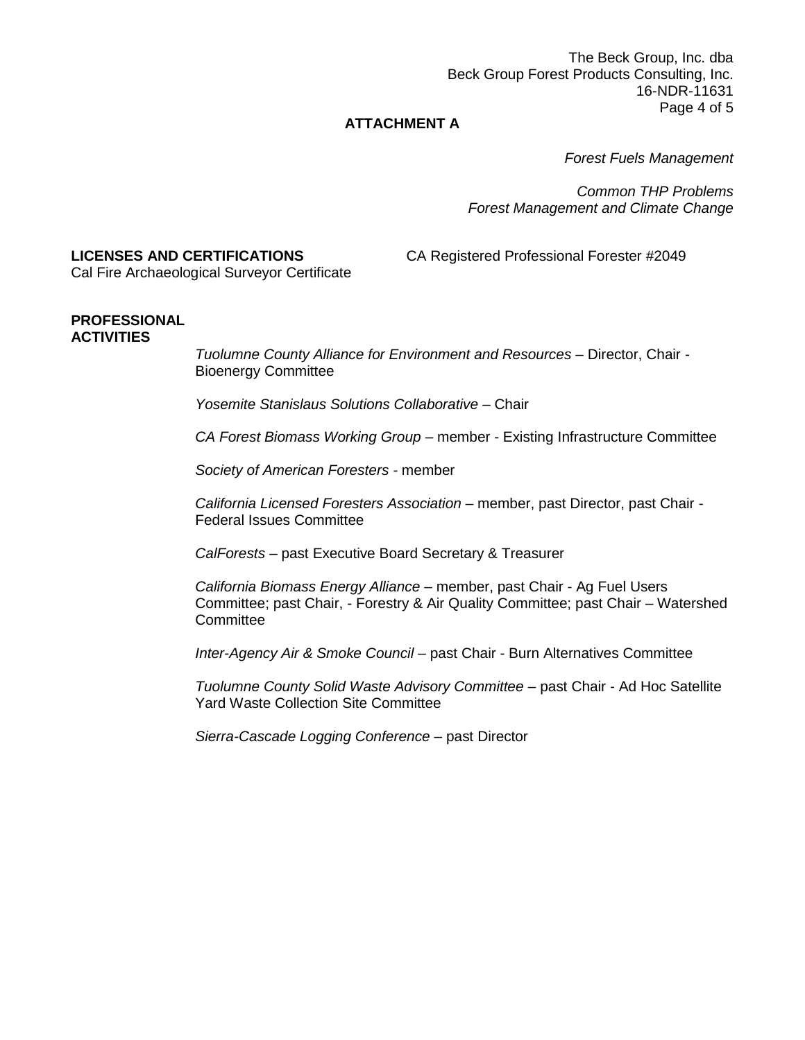The Beck Group, Inc. dba Beck Group Forest Products Consulting, Inc. 16-NDR-11631 Page 4 of 5

### **ATTACHMENT A**

*Forest Fuels Management* 

*Common THP Problems Forest Management and Climate Change*

## **LICENSES AND CERTIFICATIONS** CA Registered Professional Forester #2049

Cal Fire Archaeological Surveyor Certificate

#### **PROFESSIONAL ACTIVITIES**

*Tuolumne County Alliance for Environment and Resources* – Director, Chair - Bioenergy Committee

*Yosemite Stanislaus Solutions Collaborative* – Chair

*CA Forest Biomass Working Group* – member - Existing Infrastructure Committee

*Society of American Foresters -* member

*California Licensed Foresters Association* – member, past Director, past Chair - Federal Issues Committee

*CalForests –* past Executive Board Secretary & Treasurer

*California Biomass Energy Alliance* – member, past Chair - Ag Fuel Users Committee; past Chair, - Forestry & Air Quality Committee; past Chair – Watershed **Committee** 

*Inter-Agency Air & Smoke Council –* past Chair - Burn Alternatives Committee

*Tuolumne County Solid Waste Advisory Committee* – past Chair - Ad Hoc Satellite Yard Waste Collection Site Committee

*Sierra-Cascade Logging Conference* – past Director